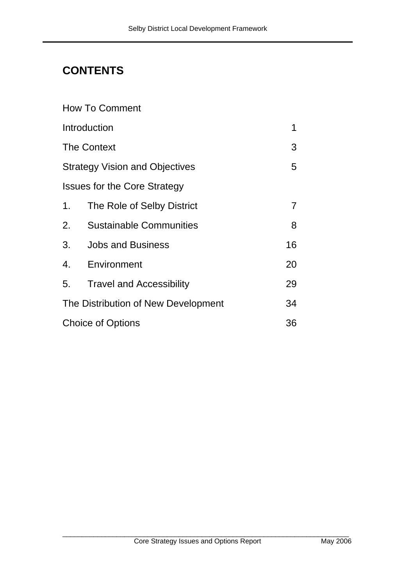# **CONTENTS**

| <b>How To Comment</b>                 |                                 |    |
|---------------------------------------|---------------------------------|----|
| Introduction<br>1                     |                                 |    |
| <b>The Context</b>                    |                                 |    |
| <b>Strategy Vision and Objectives</b> |                                 |    |
| <b>Issues for the Core Strategy</b>   |                                 |    |
| 1 <sub>1</sub>                        | The Role of Selby District      | 7  |
| 2.                                    | <b>Sustainable Communities</b>  | 8  |
| 3.                                    | <b>Jobs and Business</b>        | 16 |
| 4.                                    | Environment                     | 20 |
| 5.                                    | <b>Travel and Accessibility</b> | 29 |
| The Distribution of New Development   |                                 | 34 |
| <b>Choice of Options</b><br>36        |                                 |    |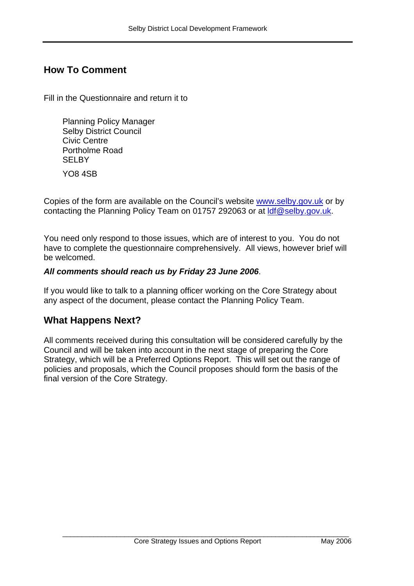## **How To Comment**

Fill in the Questionnaire and return it to

Planning Policy Manager Selby District Council Civic Centre Portholme Road **SELBY** YO8 4SB

Copies of the form are available on the Council's website www.selby.gov.uk or by contacting the Planning Policy Team on 01757 292063 or at ldf@selby.gov.uk.

You need only respond to those issues, which are of interest to you. You do not have to complete the questionnaire comprehensively. All views, however brief will be welcomed.

#### *All comments should reach us by Friday 23 June 2006*.

If you would like to talk to a planning officer working on the Core Strategy about any aspect of the document, please contact the Planning Policy Team.

## **What Happens Next?**

All comments received during this consultation will be considered carefully by the Council and will be taken into account in the next stage of preparing the Core Strategy, which will be a Preferred Options Report. This will set out the range of policies and proposals, which the Council proposes should form the basis of the final version of the Core Strategy.

\_\_\_\_\_\_\_\_\_\_\_\_\_\_\_\_\_\_\_\_\_\_\_\_\_\_\_\_\_\_\_\_\_\_\_\_\_\_\_\_\_\_\_\_\_\_\_\_\_\_\_\_\_\_\_\_\_\_\_\_\_\_\_\_\_\_\_\_\_\_\_\_\_\_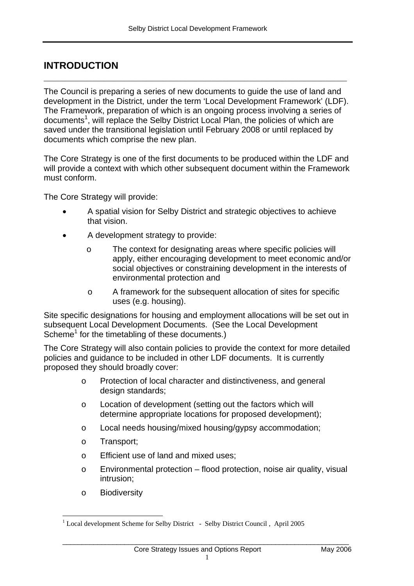## **INTRODUCTION**

The Council is preparing a series of new documents to guide the use of land and development in the District, under the term 'Local Development Framework' (LDF). The Framework, preparation of which is an ongoing process involving a series of documents<sup>1</sup>, will replace the Selby District Local Plan, the policies of which are saved under the transitional legislation until February 2008 or until replaced by documents which comprise the new plan.

**\_\_\_\_\_\_\_\_\_\_\_\_\_\_\_\_\_\_\_\_\_\_\_\_\_\_\_\_\_\_\_\_\_\_\_\_\_\_\_\_\_\_\_\_\_\_\_\_\_\_\_\_\_\_\_\_** 

The Core Strategy is one of the first documents to be produced within the LDF and will provide a context with which other subsequent document within the Framework must conform.

The Core Strategy will provide:

- A spatial vision for Selby District and strategic objectives to achieve that vision.
- A development strategy to provide:
	- o The context for designating areas where specific policies will apply, either encouraging development to meet economic and/or social objectives or constraining development in the interests of environmental protection and
	- o A framework for the subsequent allocation of sites for specific uses (e.g. housing).

Site specific designations for housing and employment allocations will be set out in subsequent Local Development Documents. (See the Local Development Scheme<sup>1</sup> for the timetabling of these documents.)

The Core Strategy will also contain policies to provide the context for more detailed policies and guidance to be included in other LDF documents. It is currently proposed they should broadly cover:

- o Protection of local character and distinctiveness, and general design standards;
- o Location of development (setting out the factors which will determine appropriate locations for proposed development);
- o Local needs housing/mixed housing/gypsy accommodation;
- o Transport;
- o Efficient use of land and mixed uses;
- o Environmental protection flood protection, noise air quality, visual intrusion;
- o Biodiversity

\_\_\_\_\_\_\_\_\_\_\_\_\_\_\_\_\_\_\_\_\_\_\_\_\_\_\_\_\_\_\_\_\_\_\_\_\_\_\_\_\_\_\_\_\_\_\_\_\_\_\_\_\_\_\_\_\_\_\_\_\_\_\_\_\_\_\_\_\_\_\_\_\_\_

 $\overline{a}$ <sup>1</sup> Local development Scheme for Selby District - Selby District Council, April 2005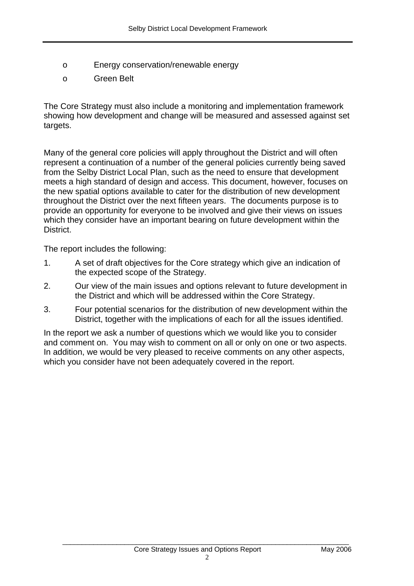- o Energy conservation/renewable energy
- o Green Belt

The Core Strategy must also include a monitoring and implementation framework showing how development and change will be measured and assessed against set targets.

Many of the general core policies will apply throughout the District and will often represent a continuation of a number of the general policies currently being saved from the Selby District Local Plan, such as the need to ensure that development meets a high standard of design and access. This document, however, focuses on the new spatial options available to cater for the distribution of new development throughout the District over the next fifteen years. The documents purpose is to provide an opportunity for everyone to be involved and give their views on issues which they consider have an important bearing on future development within the District.

The report includes the following:

- 1. A set of draft objectives for the Core strategy which give an indication of the expected scope of the Strategy.
- 2. Our view of the main issues and options relevant to future development in the District and which will be addressed within the Core Strategy.
- 3. Four potential scenarios for the distribution of new development within the District, together with the implications of each for all the issues identified.

In the report we ask a number of questions which we would like you to consider and comment on. You may wish to comment on all or only on one or two aspects. In addition, we would be very pleased to receive comments on any other aspects, which you consider have not been adequately covered in the report.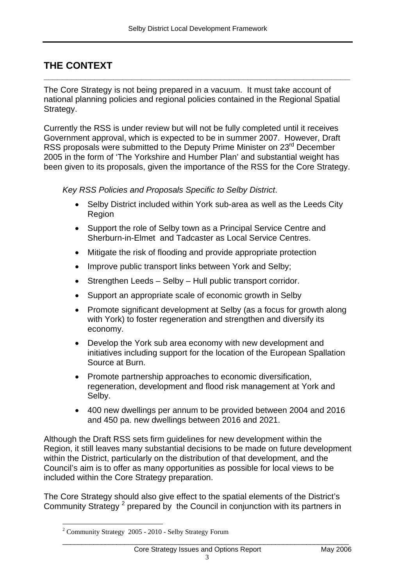## **THE CONTEXT**

The Core Strategy is not being prepared in a vacuum. It must take account of national planning policies and regional policies contained in the Regional Spatial Strategy.

**\_\_\_\_\_\_\_\_\_\_\_\_\_\_\_\_\_\_\_\_\_\_\_\_\_\_\_\_\_\_\_\_\_\_\_\_\_\_\_\_\_\_\_\_\_\_\_\_\_\_\_\_\_\_\_\_\_\_\_\_\_\_\_\_\_\_** 

Currently the RSS is under review but will not be fully completed until it receives Government approval, which is expected to be in summer 2007. However, Draft RSS proposals were submitted to the Deputy Prime Minister on 23<sup>rd</sup> December 2005 in the form of 'The Yorkshire and Humber Plan' and substantial weight has been given to its proposals, given the importance of the RSS for the Core Strategy.

*Key RSS Policies and Proposals Specific to Selby District*.

- Selby District included within York sub-area as well as the Leeds City Region
- Support the role of Selby town as a Principal Service Centre and Sherburn-in-Elmet and Tadcaster as Local Service Centres.
- Mitigate the risk of flooding and provide appropriate protection
- Improve public transport links between York and Selby;
- Strengthen Leeds Selby Hull public transport corridor.
- Support an appropriate scale of economic growth in Selby
- Promote significant development at Selby (as a focus for growth along with York) to foster regeneration and strengthen and diversify its economy.
- Develop the York sub area economy with new development and initiatives including support for the location of the European Spallation Source at Burn.
- Promote partnership approaches to economic diversification, regeneration, development and flood risk management at York and Selby.
- 400 new dwellings per annum to be provided between 2004 and 2016 and 450 pa. new dwellings between 2016 and 2021.

Although the Draft RSS sets firm guidelines for new development within the Region, it still leaves many substantial decisions to be made on future development within the District, particularly on the distribution of that development, and the Council's aim is to offer as many opportunities as possible for local views to be included within the Core Strategy preparation.

The Core Strategy should also give effect to the spatial elements of the District's Community Strategy<sup>2</sup> prepared by the Council in conjunction with its partners in

<sup>&</sup>lt;sup>2</sup> Community Strategy 2005 - 2010 - Selby Strategy Forum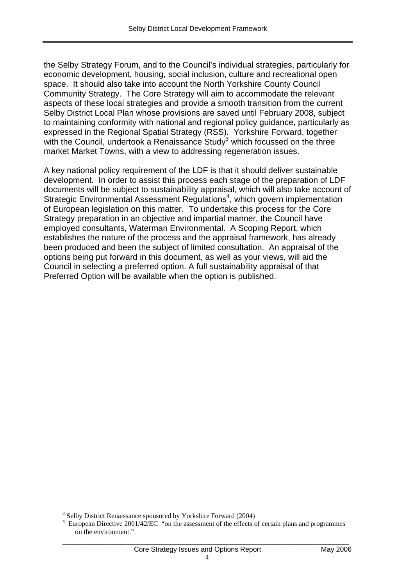the Selby Strategy Forum, and to the Council's individual strategies, particularly for economic development, housing, social inclusion, culture and recreational open space. It should also take into account the North Yorkshire County Council Community Strategy. The Core Strategy will aim to accommodate the relevant aspects of these local strategies and provide a smooth transition from the current Selby District Local Plan whose provisions are saved until February 2008, subject to maintaining conformity with national and regional policy guidance, particularly as expressed in the Regional Spatial Strategy (RSS). Yorkshire Forward, together with the Council, undertook a Renaissance Study $3$  which focussed on the three market Market Towns, with a view to addressing regeneration issues.

A key national policy requirement of the LDF is that it should deliver sustainable development. In order to assist this process each stage of the preparation of LDF documents will be subject to sustainability appraisal, which will also take account of Strategic Environmental Assessment Regulations<sup>4</sup>, which govern implementation of European legislation on this matter. To undertake this process for the Core Strategy preparation in an objective and impartial manner, the Council have employed consultants, Waterman Environmental. A Scoping Report, which establishes the nature of the process and the appraisal framework, has already been produced and been the subject of limited consultation. An appraisal of the options being put forward in this document, as well as your views, will aid the Council in selecting a preferred option. A full sustainability appraisal of that Preferred Option will be available when the option is published.

 $\overline{a}$ 

\_\_\_\_\_\_\_\_\_\_\_\_\_\_\_\_\_\_\_\_\_\_\_\_\_\_\_\_\_\_\_\_\_\_\_\_\_\_\_\_\_\_\_\_\_\_\_\_\_\_\_\_\_\_\_\_\_\_\_\_\_\_\_\_\_\_\_\_\_\_\_\_\_\_

<sup>&</sup>lt;sup>3</sup> Selby District Renaissance sponsored by Yorkshire Forward (2004)  $^{4}$  European Directive 2001/42/EC . "on the assessment of the offects

<sup>&</sup>lt;sup>4</sup> European Directive 2001/42/EC "on the assessment of the effects of certain plans and programmes on the environment."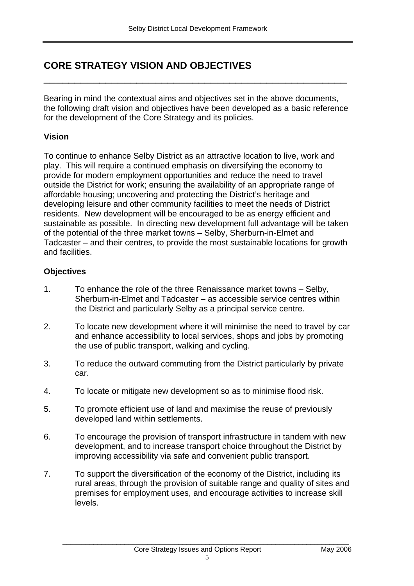## **CORE STRATEGY VISION AND OBJECTIVES**

Bearing in mind the contextual aims and objectives set in the above documents, the following draft vision and objectives have been developed as a basic reference for the development of the Core Strategy and its policies.

\_\_\_\_\_\_\_\_\_\_\_\_\_\_\_\_\_\_\_\_\_\_\_\_\_\_\_\_\_\_\_\_\_\_\_\_\_\_\_\_\_\_\_\_\_\_\_\_\_

### **Vision**

To continue to enhance Selby District as an attractive location to live, work and play. This will require a continued emphasis on diversifying the economy to provide for modern employment opportunities and reduce the need to travel outside the District for work; ensuring the availability of an appropriate range of affordable housing; uncovering and protecting the District's heritage and developing leisure and other community facilities to meet the needs of District residents. New development will be encouraged to be as energy efficient and sustainable as possible. In directing new development full advantage will be taken of the potential of the three market towns – Selby, Sherburn-in-Elmet and Tadcaster – and their centres, to provide the most sustainable locations for growth and facilities.

### **Objectives**

- 1. To enhance the role of the three Renaissance market towns Selby, Sherburn-in-Elmet and Tadcaster – as accessible service centres within the District and particularly Selby as a principal service centre.
- 2. To locate new development where it will minimise the need to travel by car and enhance accessibility to local services, shops and jobs by promoting the use of public transport, walking and cycling.
- 3. To reduce the outward commuting from the District particularly by private car.
- 4. To locate or mitigate new development so as to minimise flood risk.
- 5. To promote efficient use of land and maximise the reuse of previously developed land within settlements.
- 6. To encourage the provision of transport infrastructure in tandem with new development, and to increase transport choice throughout the District by improving accessibility via safe and convenient public transport.
- 7. To support the diversification of the economy of the District, including its rural areas, through the provision of suitable range and quality of sites and premises for employment uses, and encourage activities to increase skill levels.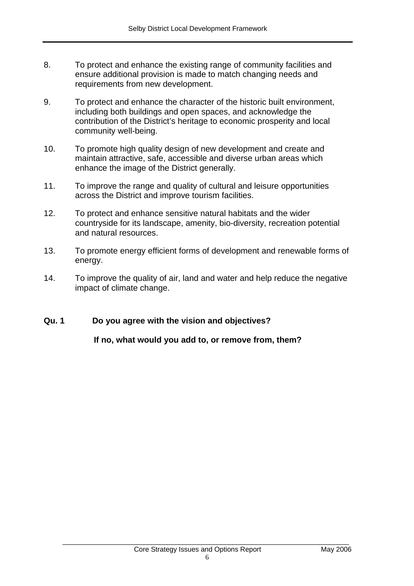- 8. To protect and enhance the existing range of community facilities and ensure additional provision is made to match changing needs and requirements from new development.
- 9. To protect and enhance the character of the historic built environment, including both buildings and open spaces, and acknowledge the contribution of the District's heritage to economic prosperity and local community well-being.
- 10. To promote high quality design of new development and create and maintain attractive, safe, accessible and diverse urban areas which enhance the image of the District generally.
- 11. To improve the range and quality of cultural and leisure opportunities across the District and improve tourism facilities.
- 12. To protect and enhance sensitive natural habitats and the wider countryside for its landscape, amenity, bio-diversity, recreation potential and natural resources.
- 13. To promote energy efficient forms of development and renewable forms of energy.
- 14. To improve the quality of air, land and water and help reduce the negative impact of climate change.

## **Qu. 1 Do you agree with the vision and objectives?**

**If no, what would you add to, or remove from, them?**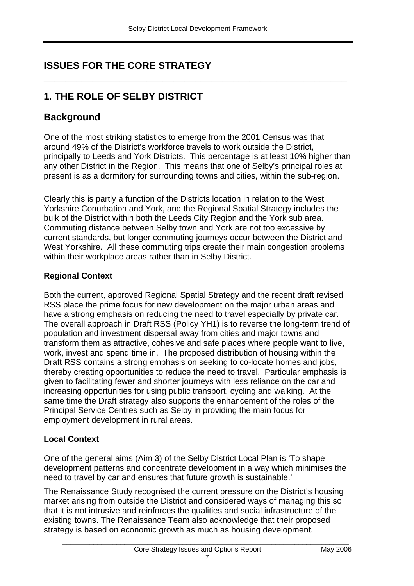**\_\_\_\_\_\_\_\_\_\_\_\_\_\_\_\_\_\_\_\_\_\_\_\_\_\_\_\_\_\_\_\_\_\_\_\_\_\_\_\_\_\_\_\_\_\_\_\_\_\_\_\_\_\_\_\_**

## **ISSUES FOR THE CORE STRATEGY**

## **1. THE ROLE OF SELBY DISTRICT**

## **Background**

One of the most striking statistics to emerge from the 2001 Census was that around 49% of the District's workforce travels to work outside the District, principally to Leeds and York Districts. This percentage is at least 10% higher than any other District in the Region. This means that one of Selby's principal roles at present is as a dormitory for surrounding towns and cities, within the sub-region.

Clearly this is partly a function of the Districts location in relation to the West Yorkshire Conurbation and York, and the Regional Spatial Strategy includes the bulk of the District within both the Leeds City Region and the York sub area. Commuting distance between Selby town and York are not too excessive by current standards, but longer commuting journeys occur between the District and West Yorkshire. All these commuting trips create their main congestion problems within their workplace areas rather than in Selby District.

## **Regional Context**

Both the current, approved Regional Spatial Strategy and the recent draft revised RSS place the prime focus for new development on the major urban areas and have a strong emphasis on reducing the need to travel especially by private car. The overall approach in Draft RSS (Policy YH1) is to reverse the long-term trend of population and investment dispersal away from cities and major towns and transform them as attractive, cohesive and safe places where people want to live, work, invest and spend time in. The proposed distribution of housing within the Draft RSS contains a strong emphasis on seeking to co-locate homes and jobs, thereby creating opportunities to reduce the need to travel. Particular emphasis is given to facilitating fewer and shorter journeys with less reliance on the car and increasing opportunities for using public transport, cycling and walking. At the same time the Draft strategy also supports the enhancement of the roles of the Principal Service Centres such as Selby in providing the main focus for employment development in rural areas.

## **Local Context**

One of the general aims (Aim 3) of the Selby District Local Plan is 'To shape development patterns and concentrate development in a way which minimises the need to travel by car and ensures that future growth is sustainable.'

The Renaissance Study recognised the current pressure on the District's housing market arising from outside the District and considered ways of managing this so that it is not intrusive and reinforces the qualities and social infrastructure of the existing towns. The Renaissance Team also acknowledge that their proposed strategy is based on economic growth as much as housing development.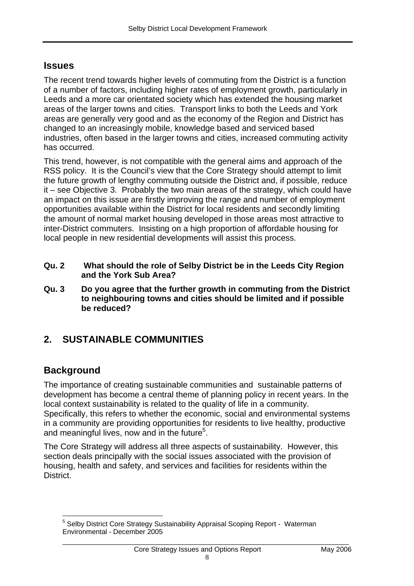## **Issues**

The recent trend towards higher levels of commuting from the District is a function of a number of factors, including higher rates of employment growth, particularly in Leeds and a more car orientated society which has extended the housing market areas of the larger towns and cities. Transport links to both the Leeds and York areas are generally very good and as the economy of the Region and District has changed to an increasingly mobile, knowledge based and serviced based industries, often based in the larger towns and cities, increased commuting activity has occurred.

This trend, however, is not compatible with the general aims and approach of the RSS policy. It is the Council's view that the Core Strategy should attempt to limit the future growth of lengthy commuting outside the District and, if possible, reduce it – see Objective 3. Probably the two main areas of the strategy, which could have an impact on this issue are firstly improving the range and number of employment opportunities available within the District for local residents and secondly limiting the amount of normal market housing developed in those areas most attractive to inter-District commuters. Insisting on a high proportion of affordable housing for local people in new residential developments will assist this process.

- **Qu. 2 What should the role of Selby District be in the Leeds City Region and the York Sub Area?**
- **Qu. 3 Do you agree that the further growth in commuting from the District to neighbouring towns and cities should be limited and if possible be reduced?**

## **2. SUSTAINABLE COMMUNITIES**

## **Background**

The importance of creating sustainable communities and sustainable patterns of development has become a central theme of planning policy in recent years. In the local context sustainability is related to the quality of life in a community. Specifically, this refers to whether the economic, social and environmental systems in a community are providing opportunities for residents to live healthy, productive and meaningful lives, now and in the future<sup>5</sup>.

The Core Strategy will address all three aspects of sustainability. However, this section deals principally with the social issues associated with the provision of housing, health and safety, and services and facilities for residents within the District.

\_\_\_\_\_\_\_\_\_\_\_\_\_\_\_\_\_\_\_\_\_\_\_\_\_\_\_\_\_\_\_\_\_\_\_\_\_\_\_\_\_\_\_\_\_\_\_\_\_\_\_\_\_\_\_\_\_\_\_\_\_\_\_\_\_\_\_\_\_\_\_\_\_\_

 $\overline{a}$ <sup>5</sup> Selby District Core Strategy Sustainability Appraisal Scoping Report - Waterman Environmental - December 2005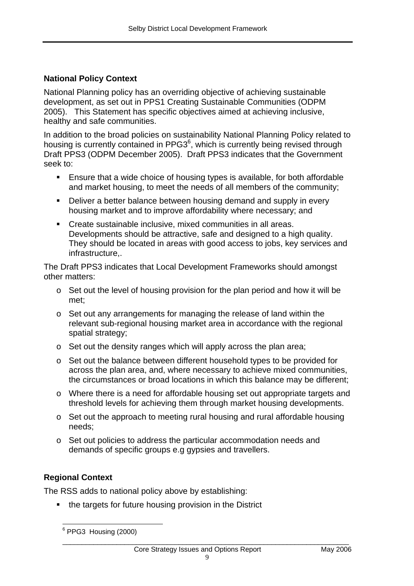### **National Policy Context**

National Planning policy has an overriding objective of achieving sustainable development, as set out in PPS1 Creating Sustainable Communities (ODPM 2005). This Statement has specific objectives aimed at achieving inclusive, healthy and safe communities.

In addition to the broad policies on sustainability National Planning Policy related to housing is currently contained in PPG3<sup>6</sup>, which is currently being revised through Draft PPS3 (ODPM December 2005). Draft PPS3 indicates that the Government seek to:

- Ensure that a wide choice of housing types is available, for both affordable and market housing, to meet the needs of all members of the community;
- **Deliver a better balance between housing demand and supply in every** housing market and to improve affordability where necessary; and
- Create sustainable inclusive, mixed communities in all areas. Developments should be attractive, safe and designed to a high quality. They should be located in areas with good access to jobs, key services and infrastructure,.

The Draft PPS3 indicates that Local Development Frameworks should amongst other matters:

- o Set out the level of housing provision for the plan period and how it will be met;
- $\circ$  Set out any arrangements for managing the release of land within the relevant sub-regional housing market area in accordance with the regional spatial strategy;
- o Set out the density ranges which will apply across the plan area;
- o Set out the balance between different household types to be provided for across the plan area, and, where necessary to achieve mixed communities, the circumstances or broad locations in which this balance may be different;
- o Where there is a need for affordable housing set out appropriate targets and threshold levels for achieving them through market housing developments.
- o Set out the approach to meeting rural housing and rural affordable housing needs;
- o Set out policies to address the particular accommodation needs and demands of specific groups e.g gypsies and travellers.

#### **Regional Context**

The RSS adds to national policy above by establishing:

• the targets for future housing provision in the District

**PPG3** Housing (2000)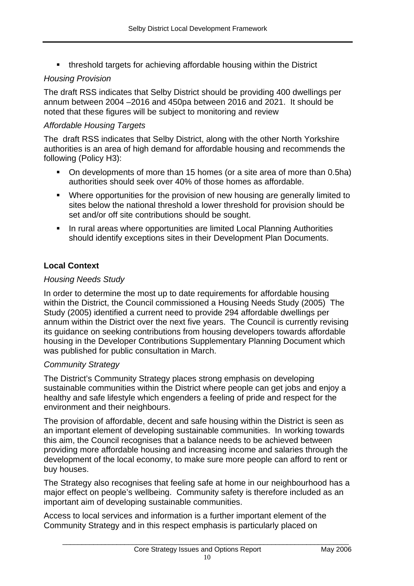threshold targets for achieving affordable housing within the District

### *Housing Provision*

The draft RSS indicates that Selby District should be providing 400 dwellings per annum between 2004 –2016 and 450pa between 2016 and 2021. It should be noted that these figures will be subject to monitoring and review

### *Affordable Housing Targets*

The draft RSS indicates that Selby District, along with the other North Yorkshire authorities is an area of high demand for affordable housing and recommends the following (Policy H3):

- On developments of more than 15 homes (or a site area of more than 0.5ha) authorities should seek over 40% of those homes as affordable.
- Where opportunities for the provision of new housing are generally limited to sites below the national threshold a lower threshold for provision should be set and/or off site contributions should be sought.
- **In rural areas where opportunities are limited Local Planning Authorities** should identify exceptions sites in their Development Plan Documents.

## **Local Context**

### *Housing Needs Study*

In order to determine the most up to date requirements for affordable housing within the District, the Council commissioned a Housing Needs Study (2005) The Study (2005) identified a current need to provide 294 affordable dwellings per annum within the District over the next five years. The Council is currently revising its guidance on seeking contributions from housing developers towards affordable housing in the Developer Contributions Supplementary Planning Document which was published for public consultation in March.

#### *Community Strategy*

The District's Community Strategy places strong emphasis on developing sustainable communities within the District where people can get jobs and enjoy a healthy and safe lifestyle which engenders a feeling of pride and respect for the environment and their neighbours.

The provision of affordable, decent and safe housing within the District is seen as an important element of developing sustainable communities. In working towards this aim, the Council recognises that a balance needs to be achieved between providing more affordable housing and increasing income and salaries through the development of the local economy, to make sure more people can afford to rent or buy houses.

The Strategy also recognises that feeling safe at home in our neighbourhood has a major effect on people's wellbeing. Community safety is therefore included as an important aim of developing sustainable communities.

Access to local services and information is a further important element of the Community Strategy and in this respect emphasis is particularly placed on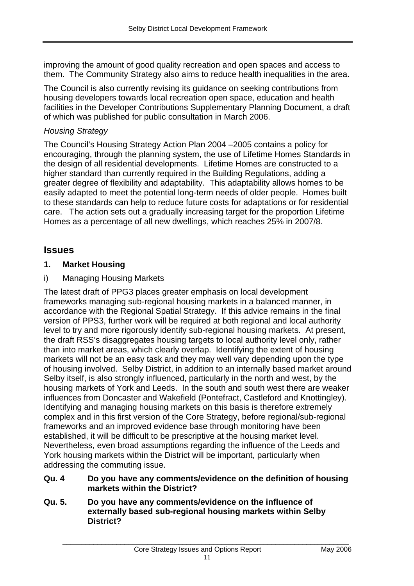improving the amount of good quality recreation and open spaces and access to them. The Community Strategy also aims to reduce health inequalities in the area.

The Council is also currently revising its guidance on seeking contributions from housing developers towards local recreation open space, education and health facilities in the Developer Contributions Supplementary Planning Document, a draft of which was published for public consultation in March 2006.

### *Housing Strategy*

The Council's Housing Strategy Action Plan 2004 –2005 contains a policy for encouraging, through the planning system, the use of Lifetime Homes Standards in the design of all residential developments. Lifetime Homes are constructed to a higher standard than currently required in the Building Regulations, adding a greater degree of flexibility and adaptability. This adaptability allows homes to be easily adapted to meet the potential long-term needs of older people. Homes built to these standards can help to reduce future costs for adaptations or for residential care. The action sets out a gradually increasing target for the proportion Lifetime Homes as a percentage of all new dwellings, which reaches 25% in 2007/8.

## **Issues**

### **1. Market Housing**

### i) Managing Housing Markets

The latest draft of PPG3 places greater emphasis on local development frameworks managing sub-regional housing markets in a balanced manner, in accordance with the Regional Spatial Strategy. If this advice remains in the final version of PPS3, further work will be required at both regional and local authority level to try and more rigorously identify sub-regional housing markets. At present, the draft RSS's disaggregates housing targets to local authority level only, rather than into market areas, which clearly overlap. Identifying the extent of housing markets will not be an easy task and they may well vary depending upon the type of housing involved. Selby District, in addition to an internally based market around Selby itself, is also strongly influenced, particularly in the north and west, by the housing markets of York and Leeds. In the south and south west there are weaker influences from Doncaster and Wakefield (Pontefract, Castleford and Knottingley). Identifying and managing housing markets on this basis is therefore extremely complex and in this first version of the Core Strategy, before regional/sub-regional frameworks and an improved evidence base through monitoring have been established, it will be difficult to be prescriptive at the housing market level. Nevertheless, even broad assumptions regarding the influence of the Leeds and York housing markets within the District will be important, particularly when addressing the commuting issue.

#### **Qu. 4 Do you have any comments/evidence on the definition of housing markets within the District?**

**Qu. 5. Do you have any comments/evidence on the influence of externally based sub-regional housing markets within Selby District?**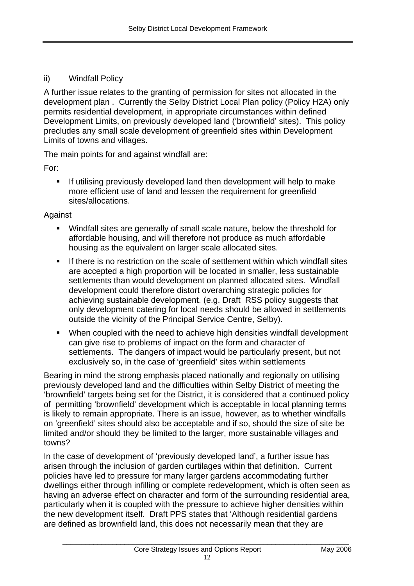### ii) Windfall Policy

A further issue relates to the granting of permission for sites not allocated in the development plan . Currently the Selby District Local Plan policy (Policy H2A) only permits residential development, in appropriate circumstances within defined Development Limits, on previously developed land ('brownfield' sites). This policy precludes any small scale development of greenfield sites within Development Limits of towns and villages.

The main points for and against windfall are:

For:

**If utilising previously developed land then development will help to make** more efficient use of land and lessen the requirement for greenfield sites/allocations.

#### Against

- Windfall sites are generally of small scale nature, below the threshold for affordable housing, and will therefore not produce as much affordable housing as the equivalent on larger scale allocated sites.
- If there is no restriction on the scale of settlement within which windfall sites are accepted a high proportion will be located in smaller, less sustainable settlements than would development on planned allocated sites. Windfall development could therefore distort overarching strategic policies for achieving sustainable development. (e.g. Draft RSS policy suggests that only development catering for local needs should be allowed in settlements outside the vicinity of the Principal Service Centre, Selby).
- When coupled with the need to achieve high densities windfall development can give rise to problems of impact on the form and character of settlements. The dangers of impact would be particularly present, but not exclusively so, in the case of 'greenfield' sites within settlements

Bearing in mind the strong emphasis placed nationally and regionally on utilising previously developed land and the difficulties within Selby District of meeting the 'brownfield' targets being set for the District, it is considered that a continued policy of permitting 'brownfield' development which is acceptable in local planning terms is likely to remain appropriate. There is an issue, however, as to whether windfalls on 'greenfield' sites should also be acceptable and if so, should the size of site be limited and/or should they be limited to the larger, more sustainable villages and towns?

In the case of development of 'previously developed land', a further issue has arisen through the inclusion of garden curtilages within that definition. Current policies have led to pressure for many larger gardens accommodating further dwellings either through infilling or complete redevelopment, which is often seen as having an adverse effect on character and form of the surrounding residential area, particularly when it is coupled with the pressure to achieve higher densities within the new development itself. Draft PPS states that 'Although residential gardens are defined as brownfield land, this does not necessarily mean that they are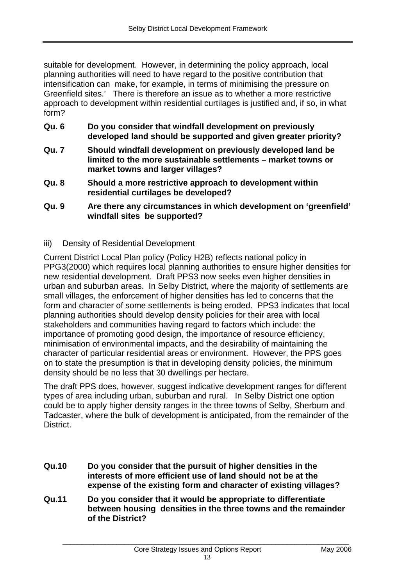suitable for development. However, in determining the policy approach, local planning authorities will need to have regard to the positive contribution that intensification can make, for example, in terms of minimising the pressure on Greenfield sites.' There is therefore an issue as to whether a more restrictive approach to development within residential curtilages is justified and, if so, in what form?

- **Qu. 6 Do you consider that windfall development on previously developed land should be supported and given greater priority?**
- **Qu. 7 Should windfall development on previously developed land be limited to the more sustainable settlements – market towns or market towns and larger villages?**
- **Qu. 8 Should a more restrictive approach to development within residential curtilages be developed?**
- **Qu. 9 Are there any circumstances in which development on 'greenfield' windfall sites be supported?**
- iii) Density of Residential Development

Current District Local Plan policy (Policy H2B) reflects national policy in PPG3(2000) which requires local planning authorities to ensure higher densities for new residential development. Draft PPS3 now seeks even higher densities in urban and suburban areas. In Selby District, where the majority of settlements are small villages, the enforcement of higher densities has led to concerns that the form and character of some settlements is being eroded. PPS3 indicates that local planning authorities should develop density policies for their area with local stakeholders and communities having regard to factors which include: the importance of promoting good design, the importance of resource efficiency, minimisation of environmental impacts, and the desirability of maintaining the character of particular residential areas or environment. However, the PPS goes on to state the presumption is that in developing density policies, the minimum density should be no less that 30 dwellings per hectare.

The draft PPS does, however, suggest indicative development ranges for different types of area including urban, suburban and rural. In Selby District one option could be to apply higher density ranges in the three towns of Selby, Sherburn and Tadcaster, where the bulk of development is anticipated, from the remainder of the District.

- **Qu.10 Do you consider that the pursuit of higher densities in the interests of more efficient use of land should not be at the expense of the existing form and character of existing villages?**
- **Qu.11 Do you consider that it would be appropriate to differentiate between housing densities in the three towns and the remainder of the District?**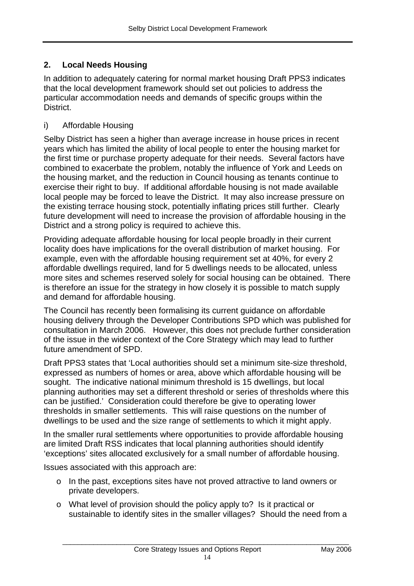## **2. Local Needs Housing**

In addition to adequately catering for normal market housing Draft PPS3 indicates that the local development framework should set out policies to address the particular accommodation needs and demands of specific groups within the **District.** 

### i) Affordable Housing

Selby District has seen a higher than average increase in house prices in recent years which has limited the ability of local people to enter the housing market for the first time or purchase property adequate for their needs. Several factors have combined to exacerbate the problem, notably the influence of York and Leeds on the housing market, and the reduction in Council housing as tenants continue to exercise their right to buy. If additional affordable housing is not made available local people may be forced to leave the District. It may also increase pressure on the existing terrace housing stock, potentially inflating prices still further. Clearly future development will need to increase the provision of affordable housing in the District and a strong policy is required to achieve this.

Providing adequate affordable housing for local people broadly in their current locality does have implications for the overall distribution of market housing. For example, even with the affordable housing requirement set at 40%, for every 2 affordable dwellings required, land for 5 dwellings needs to be allocated, unless more sites and schemes reserved solely for social housing can be obtained. There is therefore an issue for the strategy in how closely it is possible to match supply and demand for affordable housing.

The Council has recently been formalising its current guidance on affordable housing delivery through the Developer Contributions SPD which was published for consultation in March 2006. However, this does not preclude further consideration of the issue in the wider context of the Core Strategy which may lead to further future amendment of SPD.

Draft PPS3 states that 'Local authorities should set a minimum site-size threshold, expressed as numbers of homes or area, above which affordable housing will be sought. The indicative national minimum threshold is 15 dwellings, but local planning authorities may set a different threshold or series of thresholds where this can be justified.' Consideration could therefore be give to operating lower thresholds in smaller settlements. This will raise questions on the number of dwellings to be used and the size range of settlements to which it might apply.

In the smaller rural settlements where opportunities to provide affordable housing are limited Draft RSS indicates that local planning authorities should identify 'exceptions' sites allocated exclusively for a small number of affordable housing.

Issues associated with this approach are:

- o In the past, exceptions sites have not proved attractive to land owners or private developers.
- o What level of provision should the policy apply to? Is it practical or sustainable to identify sites in the smaller villages? Should the need from a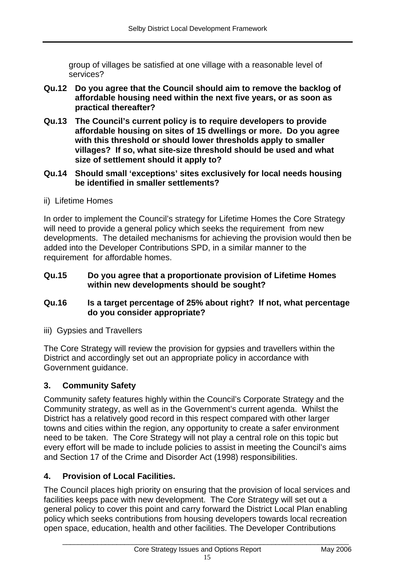group of villages be satisfied at one village with a reasonable level of services?

- **Qu.12 Do you agree that the Council should aim to remove the backlog of affordable housing need within the next five years, or as soon as practical thereafter?**
- **Qu.13 The Council's current policy is to require developers to provide affordable housing on sites of 15 dwellings or more. Do you agree with this threshold or should lower thresholds apply to smaller villages? If so, what site-size threshold should be used and what size of settlement should it apply to?**
- **Qu.14 Should small 'exceptions' sites exclusively for local needs housing be identified in smaller settlements?**
- ii) Lifetime Homes

In order to implement the Council's strategy for Lifetime Homes the Core Strategy will need to provide a general policy which seeks the requirement from new developments. The detailed mechanisms for achieving the provision would then be added into the Developer Contributions SPD, in a similar manner to the requirement for affordable homes.

#### **Qu.15 Do you agree that a proportionate provision of Lifetime Homes within new developments should be sought?**

#### **Qu.16 Is a target percentage of 25% about right? If not, what percentage do you consider appropriate?**

iii) Gypsies and Travellers

The Core Strategy will review the provision for gypsies and travellers within the District and accordingly set out an appropriate policy in accordance with Government guidance.

#### **3. Community Safety**

Community safety features highly within the Council's Corporate Strategy and the Community strategy, as well as in the Government's current agenda. Whilst the District has a relatively good record in this respect compared with other larger towns and cities within the region, any opportunity to create a safer environment need to be taken. The Core Strategy will not play a central role on this topic but every effort will be made to include policies to assist in meeting the Council's aims and Section 17 of the Crime and Disorder Act (1998) responsibilities.

#### **4. Provision of Local Facilities.**

The Council places high priority on ensuring that the provision of local services and facilities keeps pace with new development. The Core Strategy will set out a general policy to cover this point and carry forward the District Local Plan enabling policy which seeks contributions from housing developers towards local recreation open space, education, health and other facilities. The Developer Contributions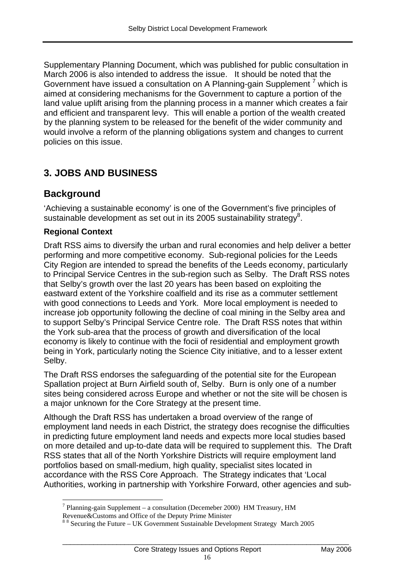Supplementary Planning Document, which was published for public consultation in March 2006 is also intended to address the issue. It should be noted that the Government have issued a consultation on A Planning-gain Supplement<sup>7</sup> which is aimed at considering mechanisms for the Government to capture a portion of the land value uplift arising from the planning process in a manner which creates a fair and efficient and transparent levy. This will enable a portion of the wealth created by the planning system to be released for the benefit of the wider community and would involve a reform of the planning obligations system and changes to current policies on this issue.

## **3. JOBS AND BUSINESS**

## **Background**

'Achieving a sustainable economy' is one of the Government's five principles of sustainable development as set out in its 2005 sustainability strategy<sup>8</sup>.

### **Regional Context**

 $\overline{a}$ 

Draft RSS aims to diversify the urban and rural economies and help deliver a better performing and more competitive economy. Sub-regional policies for the Leeds City Region are intended to spread the benefits of the Leeds economy, particularly to Principal Service Centres in the sub-region such as Selby. The Draft RSS notes that Selby's growth over the last 20 years has been based on exploiting the eastward extent of the Yorkshire coalfield and its rise as a commuter settlement with good connections to Leeds and York. More local employment is needed to increase job opportunity following the decline of coal mining in the Selby area and to support Selby's Principal Service Centre role. The Draft RSS notes that within the York sub-area that the process of growth and diversification of the local economy is likely to continue with the focii of residential and employment growth being in York, particularly noting the Science City initiative, and to a lesser extent Selby.

The Draft RSS endorses the safeguarding of the potential site for the European Spallation project at Burn Airfield south of, Selby. Burn is only one of a number sites being considered across Europe and whether or not the site will be chosen is a major unknown for the Core Strategy at the present time.

Although the Draft RSS has undertaken a broad overview of the range of employment land needs in each District, the strategy does recognise the difficulties in predicting future employment land needs and expects more local studies based on more detailed and up-to-date data will be required to supplement this. The Draft RSS states that all of the North Yorkshire Districts will require employment land portfolios based on small-medium, high quality, specialist sites located in accordance with the RSS Core Approach. The Strategy indicates that 'Local Authorities, working in partnership with Yorkshire Forward, other agencies and sub-

<sup>&</sup>lt;sup>7</sup> Planning-gain Supplement – a consultation (Decemeber 2000) HM Treasury, HM

Revenue&Customs and Office of the Deputy Prime Minister

<sup>&</sup>lt;sup>88</sup> Securing the Future – UK Government Sustainable Development Strategy March 2005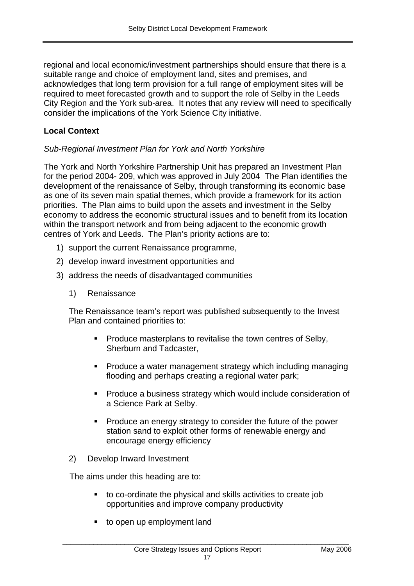regional and local economic/investment partnerships should ensure that there is a suitable range and choice of employment land, sites and premises, and acknowledges that long term provision for a full range of employment sites will be required to meet forecasted growth and to support the role of Selby in the Leeds City Region and the York sub-area. It notes that any review will need to specifically consider the implications of the York Science City initiative.

### **Local Context**

#### *Sub-Regional Investment Plan for York and North Yorkshire*

The York and North Yorkshire Partnership Unit has prepared an Investment Plan for the period 2004- 209, which was approved in July 2004 The Plan identifies the development of the renaissance of Selby, through transforming its economic base as one of its seven main spatial themes, which provide a framework for its action priorities. The Plan aims to build upon the assets and investment in the Selby economy to address the economic structural issues and to benefit from its location within the transport network and from being adjacent to the economic growth centres of York and Leeds. The Plan's priority actions are to:

- 1) support the current Renaissance programme,
- 2) develop inward investment opportunities and
- 3) address the needs of disadvantaged communities
	- 1) Renaissance

The Renaissance team's report was published subsequently to the Invest Plan and contained priorities to:

- **Produce masterplans to revitalise the town centres of Selby,** Sherburn and Tadcaster,
- Produce a water management strategy which including managing flooding and perhaps creating a regional water park;
- **Produce a business strategy which would include consideration of** a Science Park at Selby.
- **Produce an energy strategy to consider the future of the power** station sand to exploit other forms of renewable energy and encourage energy efficiency
- 2) Develop Inward Investment

The aims under this heading are to:

- to co-ordinate the physical and skills activities to create job opportunities and improve company productivity
- **to open up employment land**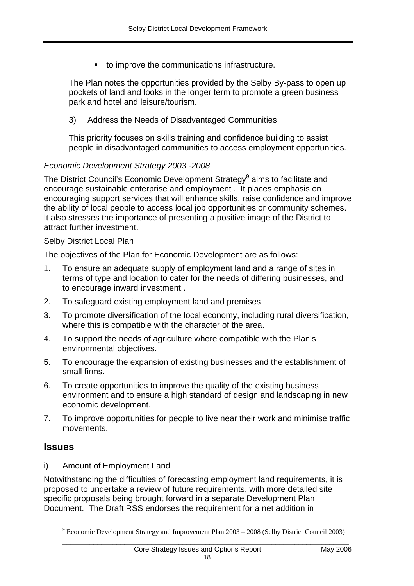to improve the communications infrastructure.

The Plan notes the opportunities provided by the Selby By-pass to open up pockets of land and looks in the longer term to promote a green business park and hotel and leisure/tourism.

#### 3) Address the Needs of Disadvantaged Communities

This priority focuses on skills training and confidence building to assist people in disadvantaged communities to access employment opportunities.

#### *Economic Development Strategy 2003 -2008*

The District Council's Economic Development Strategy<sup>9</sup> aims to facilitate and encourage sustainable enterprise and employment . It places emphasis on encouraging support services that will enhance skills, raise confidence and improve the ability of local people to access local job opportunities or community schemes. It also stresses the importance of presenting a positive image of the District to attract further investment.

#### Selby District Local Plan

The objectives of the Plan for Economic Development are as follows:

- 1. To ensure an adequate supply of employment land and a range of sites in terms of type and location to cater for the needs of differing businesses, and to encourage inward investment..
- 2. To safeguard existing employment land and premises
- 3. To promote diversification of the local economy, including rural diversification, where this is compatible with the character of the area.
- 4. To support the needs of agriculture where compatible with the Plan's environmental objectives.
- 5. To encourage the expansion of existing businesses and the establishment of small firms.
- 6. To create opportunities to improve the quality of the existing business environment and to ensure a high standard of design and landscaping in new economic development.
- 7. To improve opportunities for people to live near their work and minimise traffic movements.

## **Issues**

 $\overline{a}$ 

i) Amount of Employment Land

Notwithstanding the difficulties of forecasting employment land requirements, it is proposed to undertake a review of future requirements, with more detailed site specific proposals being brought forward in a separate Development Plan Document. The Draft RSS endorses the requirement for a net addition in

 $9$  Economic Development Strategy and Improvement Plan 2003 – 2008 (Selby District Council 2003) \_\_\_\_\_\_\_\_\_\_\_\_\_\_\_\_\_\_\_\_\_\_\_\_\_\_\_\_\_\_\_\_\_\_\_\_\_\_\_\_\_\_\_\_\_\_\_\_\_\_\_\_\_\_\_\_\_\_\_\_\_\_\_\_\_\_\_\_\_\_\_\_\_\_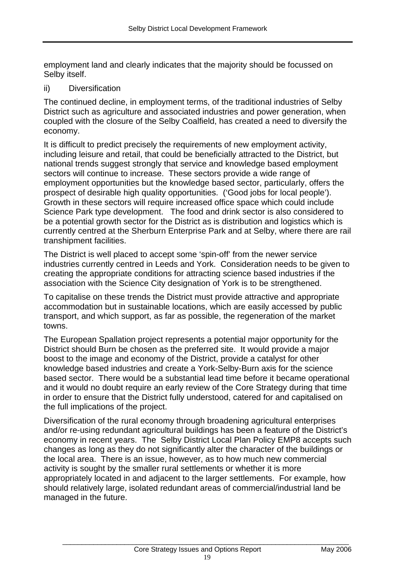employment land and clearly indicates that the majority should be focussed on Selby itself.

#### ii) Diversification

The continued decline, in employment terms, of the traditional industries of Selby District such as agriculture and associated industries and power generation, when coupled with the closure of the Selby Coalfield, has created a need to diversify the economy.

It is difficult to predict precisely the requirements of new employment activity, including leisure and retail, that could be beneficially attracted to the District, but national trends suggest strongly that service and knowledge based employment sectors will continue to increase. These sectors provide a wide range of employment opportunities but the knowledge based sector, particularly, offers the prospect of desirable high quality opportunities. ('Good jobs for local people'). Growth in these sectors will require increased office space which could include Science Park type development. The food and drink sector is also considered to be a potential growth sector for the District as is distribution and logistics which is currently centred at the Sherburn Enterprise Park and at Selby, where there are rail transhipment facilities.

The District is well placed to accept some 'spin-off' from the newer service industries currently centred in Leeds and York. Consideration needs to be given to creating the appropriate conditions for attracting science based industries if the association with the Science City designation of York is to be strengthened.

To capitalise on these trends the District must provide attractive and appropriate accommodation but in sustainable locations, which are easily accessed by public transport, and which support, as far as possible, the regeneration of the market towns.

The European Spallation project represents a potential major opportunity for the District should Burn be chosen as the preferred site. It would provide a major boost to the image and economy of the District, provide a catalyst for other knowledge based industries and create a York-Selby-Burn axis for the science based sector. There would be a substantial lead time before it became operational and it would no doubt require an early review of the Core Strategy during that time in order to ensure that the District fully understood, catered for and capitalised on the full implications of the project.

Diversification of the rural economy through broadening agricultural enterprises and/or re-using redundant agricultural buildings has been a feature of the District's economy in recent years. The Selby District Local Plan Policy EMP8 accepts such changes as long as they do not significantly alter the character of the buildings or the local area. There is an issue, however, as to how much new commercial activity is sought by the smaller rural settlements or whether it is more appropriately located in and adjacent to the larger settlements. For example, how should relatively large, isolated redundant areas of commercial/industrial land be managed in the future.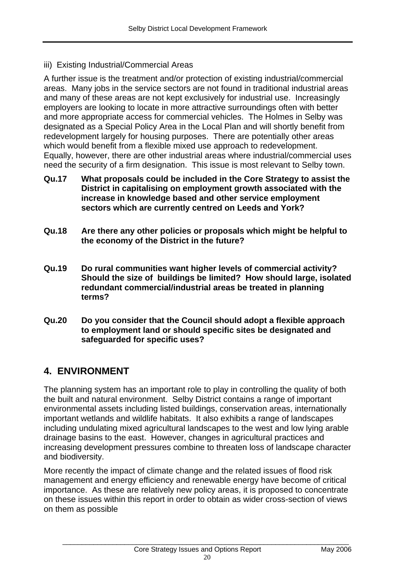iii) Existing Industrial/Commercial Areas

A further issue is the treatment and/or protection of existing industrial/commercial areas. Many jobs in the service sectors are not found in traditional industrial areas and many of these areas are not kept exclusively for industrial use. Increasingly employers are looking to locate in more attractive surroundings often with better and more appropriate access for commercial vehicles. The Holmes in Selby was designated as a Special Policy Area in the Local Plan and will shortly benefit from redevelopment largely for housing purposes. There are potentially other areas which would benefit from a flexible mixed use approach to redevelopment. Equally, however, there are other industrial areas where industrial/commercial uses need the security of a firm designation. This issue is most relevant to Selby town.

- **Qu.17 What proposals could be included in the Core Strategy to assist the District in capitalising on employment growth associated with the increase in knowledge based and other service employment sectors which are currently centred on Leeds and York?**
- **Qu.18 Are there any other policies or proposals which might be helpful to the economy of the District in the future?**
- **Qu.19 Do rural communities want higher levels of commercial activity? Should the size of buildings be limited? How should large, isolated redundant commercial/industrial areas be treated in planning terms?**
- **Qu.20 Do you consider that the Council should adopt a flexible approach to employment land or should specific sites be designated and safeguarded for specific uses?**

## **4. ENVIRONMENT**

The planning system has an important role to play in controlling the quality of both the built and natural environment. Selby District contains a range of important environmental assets including listed buildings, conservation areas, internationally important wetlands and wildlife habitats. It also exhibits a range of landscapes including undulating mixed agricultural landscapes to the west and low lying arable drainage basins to the east. However, changes in agricultural practices and increasing development pressures combine to threaten loss of landscape character and biodiversity.

More recently the impact of climate change and the related issues of flood risk management and energy efficiency and renewable energy have become of critical importance. As these are relatively new policy areas, it is proposed to concentrate on these issues within this report in order to obtain as wider cross-section of views on them as possible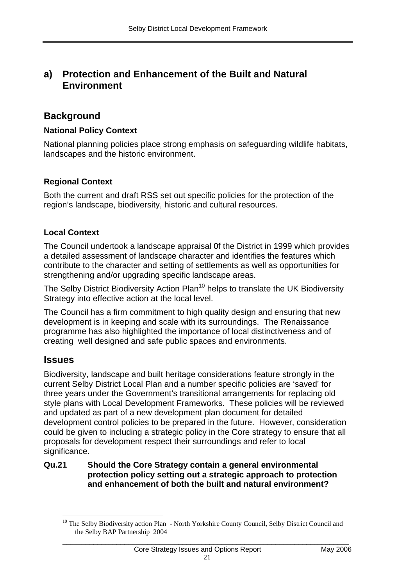## **a) Protection and Enhancement of the Built and Natural Environment**

## **Background**

### **National Policy Context**

National planning policies place strong emphasis on safeguarding wildlife habitats, landscapes and the historic environment.

### **Regional Context**

Both the current and draft RSS set out specific policies for the protection of the region's landscape, biodiversity, historic and cultural resources.

### **Local Context**

The Council undertook a landscape appraisal 0f the District in 1999 which provides a detailed assessment of landscape character and identifies the features which contribute to the character and setting of settlements as well as opportunities for strengthening and/or upgrading specific landscape areas.

The Selby District Biodiversity Action Plan<sup>10</sup> helps to translate the UK Biodiversity Strategy into effective action at the local level.

The Council has a firm commitment to high quality design and ensuring that new development is in keeping and scale with its surroundings. The Renaissance programme has also highlighted the importance of local distinctiveness and of creating well designed and safe public spaces and environments.

## **Issues**

Biodiversity, landscape and built heritage considerations feature strongly in the current Selby District Local Plan and a number specific policies are 'saved' for three years under the Government's transitional arrangements for replacing old style plans with Local Development Frameworks. These policies will be reviewed and updated as part of a new development plan document for detailed development control policies to be prepared in the future. However, consideration could be given to including a strategic policy in the Core strategy to ensure that all proposals for development respect their surroundings and refer to local significance.

#### **Qu.21 Should the Core Strategy contain a general environmental protection policy setting out a strategic approach to protection and enhancement of both the built and natural environment?**

 $\overline{a}$ <sup>10</sup> The Selby Biodiversity action Plan - North Yorkshire County Council, Selby District Council and the Selby BAP Partnership 2004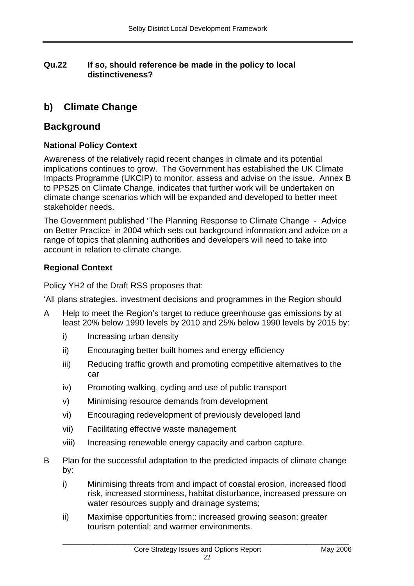### **Qu.22 If so, should reference be made in the policy to local distinctiveness?**

## **b) Climate Change**

## **Background**

### **National Policy Context**

Awareness of the relatively rapid recent changes in climate and its potential implications continues to grow. The Government has established the UK Climate Impacts Programme (UKCIP) to monitor, assess and advise on the issue. Annex B to PPS25 on Climate Change, indicates that further work will be undertaken on climate change scenarios which will be expanded and developed to better meet stakeholder needs.

The Government published 'The Planning Response to Climate Change - Advice on Better Practice' in 2004 which sets out background information and advice on a range of topics that planning authorities and developers will need to take into account in relation to climate change.

## **Regional Context**

Policy YH2 of the Draft RSS proposes that:

'All plans strategies, investment decisions and programmes in the Region should

- A Help to meet the Region's target to reduce greenhouse gas emissions by at least 20% below 1990 levels by 2010 and 25% below 1990 levels by 2015 by:
	- i) Increasing urban density
	- ii) Encouraging better built homes and energy efficiency
	- iii) Reducing traffic growth and promoting competitive alternatives to the car
	- iv) Promoting walking, cycling and use of public transport
	- v) Minimising resource demands from development
	- vi) Encouraging redevelopment of previously developed land
	- vii) Facilitating effective waste management
	- viii) Increasing renewable energy capacity and carbon capture.
- B Plan for the successful adaptation to the predicted impacts of climate change by:
	- i) Minimising threats from and impact of coastal erosion, increased flood risk, increased storminess, habitat disturbance, increased pressure on water resources supply and drainage systems;
	- ii) Maximise opportunities from;: increased growing season; greater tourism potential; and warmer environments.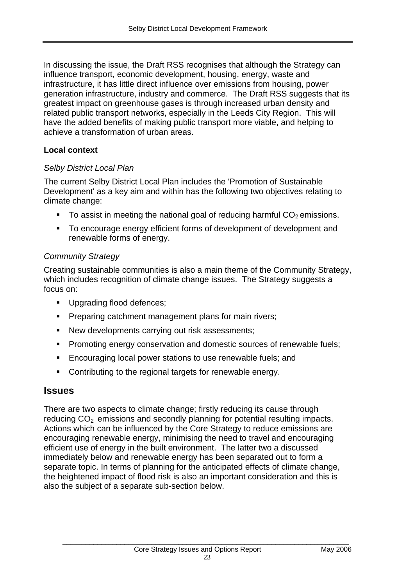In discussing the issue, the Draft RSS recognises that although the Strategy can influence transport, economic development, housing, energy, waste and infrastructure, it has little direct influence over emissions from housing, power generation infrastructure, industry and commerce. The Draft RSS suggests that its greatest impact on greenhouse gases is through increased urban density and related public transport networks, especially in the Leeds City Region. This will have the added benefits of making public transport more viable, and helping to achieve a transformation of urban areas.

### **Local context**

#### *Selby District Local Plan*

The current Selby District Local Plan includes the 'Promotion of Sustainable Development' as a key aim and within has the following two objectives relating to climate change:

- To assist in meeting the national goal of reducing harmful  $CO<sub>2</sub>$  emissions.
- To encourage energy efficient forms of development of development and renewable forms of energy.

### *Community Strategy*

Creating sustainable communities is also a main theme of the Community Strategy, which includes recognition of climate change issues. The Strategy suggests a focus on:

- Upgrading flood defences;
- **Preparing catchment management plans for main rivers:**
- New developments carrying out risk assessments;
- **Promoting energy conservation and domestic sources of renewable fuels;**
- **Encouraging local power stations to use renewable fuels; and**
- **Contributing to the regional targets for renewable energy.**

## **Issues**

There are two aspects to climate change; firstly reducing its cause through reducing  $CO<sub>2</sub>$  emissions and secondly planning for potential resulting impacts. Actions which can be influenced by the Core Strategy to reduce emissions are encouraging renewable energy, minimising the need to travel and encouraging efficient use of energy in the built environment. The latter two a discussed immediately below and renewable energy has been separated out to form a separate topic. In terms of planning for the anticipated effects of climate change, the heightened impact of flood risk is also an important consideration and this is also the subject of a separate sub-section below.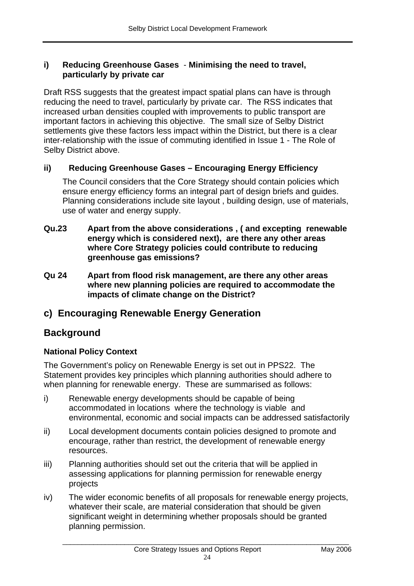#### **i) Reducing Greenhouse Gases** - **Minimising the need to travel, particularly by private car**

Draft RSS suggests that the greatest impact spatial plans can have is through reducing the need to travel, particularly by private car. The RSS indicates that increased urban densities coupled with improvements to public transport are important factors in achieving this objective. The small size of Selby District settlements give these factors less impact within the District, but there is a clear inter-relationship with the issue of commuting identified in Issue 1 - The Role of Selby District above.

### **ii) Reducing Greenhouse Gases – Encouraging Energy Efficiency**

The Council considers that the Core Strategy should contain policies which ensure energy efficiency forms an integral part of design briefs and guides. Planning considerations include site layout , building design, use of materials, use of water and energy supply.

- **Qu.23 Apart from the above considerations , ( and excepting renewable energy which is considered next), are there any other areas where Core Strategy policies could contribute to reducing greenhouse gas emissions?**
- **Qu 24 Apart from flood risk management, are there any other areas where new planning policies are required to accommodate the impacts of climate change on the District?**

## **c) Encouraging Renewable Energy Generation**

## **Background**

## **National Policy Context**

The Government's policy on Renewable Energy is set out in PPS22. The Statement provides key principles which planning authorities should adhere to when planning for renewable energy. These are summarised as follows:

- i) Renewable energy developments should be capable of being accommodated in locations where the technology is viable and environmental, economic and social impacts can be addressed satisfactorily
- ii) Local development documents contain policies designed to promote and encourage, rather than restrict, the development of renewable energy resources.
- iii) Planning authorities should set out the criteria that will be applied in assessing applications for planning permission for renewable energy projects
- iv) The wider economic benefits of all proposals for renewable energy projects, whatever their scale, are material consideration that should be given significant weight in determining whether proposals should be granted planning permission.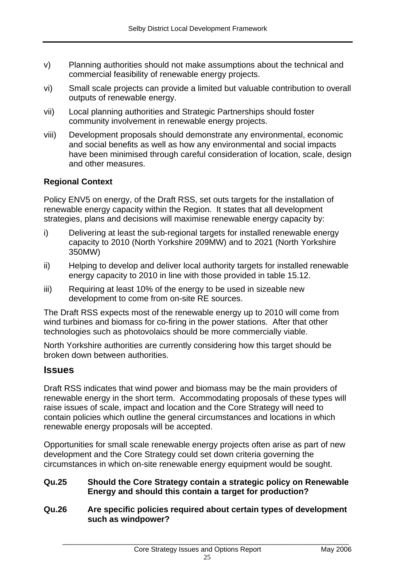- v) Planning authorities should not make assumptions about the technical and commercial feasibility of renewable energy projects.
- vi) Small scale projects can provide a limited but valuable contribution to overall outputs of renewable energy.
- vii) Local planning authorities and Strategic Partnerships should foster community involvement in renewable energy projects.
- viii) Development proposals should demonstrate any environmental, economic and social benefits as well as how any environmental and social impacts have been minimised through careful consideration of location, scale, design and other measures.

## **Regional Context**

Policy ENV5 on energy, of the Draft RSS, set outs targets for the installation of renewable energy capacity within the Region. It states that all development strategies, plans and decisions will maximise renewable energy capacity by:

- i) Delivering at least the sub-regional targets for installed renewable energy capacity to 2010 (North Yorkshire 209MW) and to 2021 (North Yorkshire 350MW)
- ii) Helping to develop and deliver local authority targets for installed renewable energy capacity to 2010 in line with those provided in table 15.12.
- iii) Requiring at least 10% of the energy to be used in sizeable new development to come from on-site RE sources.

The Draft RSS expects most of the renewable energy up to 2010 will come from wind turbines and biomass for co-firing in the power stations. After that other technologies such as photovolaics should be more commercially viable.

North Yorkshire authorities are currently considering how this target should be broken down between authorities.

## **Issues**

Draft RSS indicates that wind power and biomass may be the main providers of renewable energy in the short term. Accommodating proposals of these types will raise issues of scale, impact and location and the Core Strategy will need to contain policies which outline the general circumstances and locations in which renewable energy proposals will be accepted.

Opportunities for small scale renewable energy projects often arise as part of new development and the Core Strategy could set down criteria governing the circumstances in which on-site renewable energy equipment would be sought.

- **Qu.25 Should the Core Strategy contain a strategic policy on Renewable Energy and should this contain a target for production?**
- **Qu.26 Are specific policies required about certain types of development such as windpower?**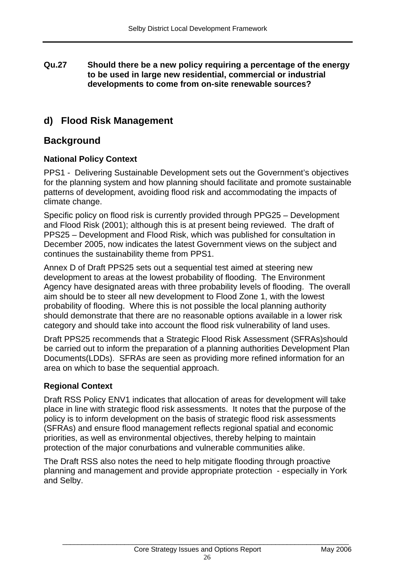#### **Qu.27 Should there be a new policy requiring a percentage of the energy to be used in large new residential, commercial or industrial developments to come from on-site renewable sources?**

## **d) Flood Risk Management**

## **Background**

## **National Policy Context**

PPS1 - Delivering Sustainable Development sets out the Government's objectives for the planning system and how planning should facilitate and promote sustainable patterns of development, avoiding flood risk and accommodating the impacts of climate change.

Specific policy on flood risk is currently provided through PPG25 – Development and Flood Risk (2001); although this is at present being reviewed. The draft of PPS25 – Development and Flood Risk, which was published for consultation in December 2005, now indicates the latest Government views on the subject and continues the sustainability theme from PPS1.

Annex D of Draft PPS25 sets out a sequential test aimed at steering new development to areas at the lowest probability of flooding. The Environment Agency have designated areas with three probability levels of flooding. The overall aim should be to steer all new development to Flood Zone 1, with the lowest probability of flooding. Where this is not possible the local planning authority should demonstrate that there are no reasonable options available in a lower risk category and should take into account the flood risk vulnerability of land uses.

Draft PPS25 recommends that a Strategic Flood Risk Assessment (SFRAs)should be carried out to inform the preparation of a planning authorities Development Plan Documents(LDDs). SFRAs are seen as providing more refined information for an area on which to base the sequential approach.

## **Regional Context**

Draft RSS Policy ENV1 indicates that allocation of areas for development will take place in line with strategic flood risk assessments. It notes that the purpose of the policy is to inform development on the basis of strategic flood risk assessments (SFRAs) and ensure flood management reflects regional spatial and economic priorities, as well as environmental objectives, thereby helping to maintain protection of the major conurbations and vulnerable communities alike.

The Draft RSS also notes the need to help mitigate flooding through proactive planning and management and provide appropriate protection - especially in York and Selby.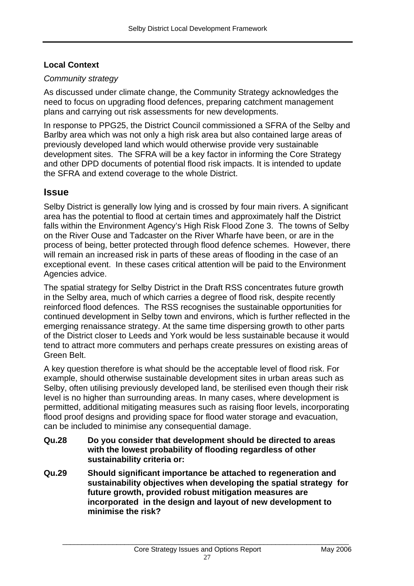### **Local Context**

### *Community strategy*

As discussed under climate change, the Community Strategy acknowledges the need to focus on upgrading flood defences, preparing catchment management plans and carrying out risk assessments for new developments.

In response to PPG25, the District Council commissioned a SFRA of the Selby and Barlby area which was not only a high risk area but also contained large areas of previously developed land which would otherwise provide very sustainable development sites. The SFRA will be a key factor in informing the Core Strategy and other DPD documents of potential flood risk impacts. It is intended to update the SFRA and extend coverage to the whole District.

## **Issue**

Selby District is generally low lying and is crossed by four main rivers. A significant area has the potential to flood at certain times and approximately half the District falls within the Environment Agency's High Risk Flood Zone 3. The towns of Selby on the River Ouse and Tadcaster on the River Wharfe have been, or are in the process of being, better protected through flood defence schemes. However, there will remain an increased risk in parts of these areas of flooding in the case of an exceptional event. In these cases critical attention will be paid to the Environment Agencies advice.

The spatial strategy for Selby District in the Draft RSS concentrates future growth in the Selby area, much of which carries a degree of flood risk, despite recently reinforced flood defences. The RSS recognises the sustainable opportunities for continued development in Selby town and environs, which is further reflected in the emerging renaissance strategy. At the same time dispersing growth to other parts of the District closer to Leeds and York would be less sustainable because it would tend to attract more commuters and perhaps create pressures on existing areas of Green Belt.

A key question therefore is what should be the acceptable level of flood risk. For example, should otherwise sustainable development sites in urban areas such as Selby, often utilising previously developed land, be sterilised even though their risk level is no higher than surrounding areas. In many cases, where development is permitted, additional mitigating measures such as raising floor levels, incorporating flood proof designs and providing space for flood water storage and evacuation, can be included to minimise any consequential damage.

- **Qu.28 Do you consider that development should be directed to areas with the lowest probability of flooding regardless of other sustainability criteria or:**
- **Qu.29 Should significant importance be attached to regeneration and sustainability objectives when developing the spatial strategy for future growth, provided robust mitigation measures are incorporated in the design and layout of new development to minimise the risk?**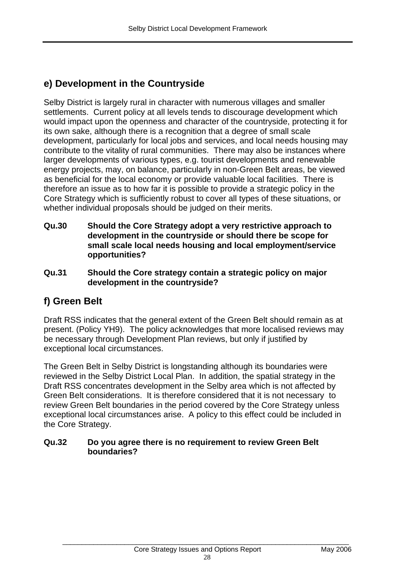## **e) Development in the Countryside**

Selby District is largely rural in character with numerous villages and smaller settlements. Current policy at all levels tends to discourage development which would impact upon the openness and character of the countryside, protecting it for its own sake, although there is a recognition that a degree of small scale development, particularly for local jobs and services, and local needs housing may contribute to the vitality of rural communities. There may also be instances where larger developments of various types, e.g. tourist developments and renewable energy projects, may, on balance, particularly in non-Green Belt areas, be viewed as beneficial for the local economy or provide valuable local facilities. There is therefore an issue as to how far it is possible to provide a strategic policy in the Core Strategy which is sufficiently robust to cover all types of these situations, or whether individual proposals should be judged on their merits.

- **Qu.30 Should the Core Strategy adopt a very restrictive approach to development in the countryside or should there be scope for small scale local needs housing and local employment/service opportunities?**
- **Qu.31 Should the Core strategy contain a strategic policy on major development in the countryside?**

## **f) Green Belt**

Draft RSS indicates that the general extent of the Green Belt should remain as at present. (Policy YH9). The policy acknowledges that more localised reviews may be necessary through Development Plan reviews, but only if justified by exceptional local circumstances.

The Green Belt in Selby District is longstanding although its boundaries were reviewed in the Selby District Local Plan. In addition, the spatial strategy in the Draft RSS concentrates development in the Selby area which is not affected by Green Belt considerations. It is therefore considered that it is not necessary to review Green Belt boundaries in the period covered by the Core Strategy unless exceptional local circumstances arise. A policy to this effect could be included in the Core Strategy.

#### **Qu.32 Do you agree there is no requirement to review Green Belt boundaries?**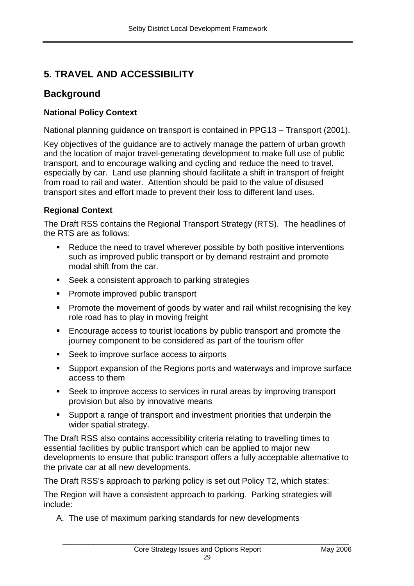## **5. TRAVEL AND ACCESSIBILITY**

## **Background**

## **National Policy Context**

National planning guidance on transport is contained in PPG13 – Transport (2001).

Key objectives of the guidance are to actively manage the pattern of urban growth and the location of major travel-generating development to make full use of public transport, and to encourage walking and cycling and reduce the need to travel, especially by car. Land use planning should facilitate a shift in transport of freight from road to rail and water. Attention should be paid to the value of disused transport sites and effort made to prevent their loss to different land uses.

## **Regional Context**

The Draft RSS contains the Regional Transport Strategy (RTS). The headlines of the RTS are as follows:

- Reduce the need to travel wherever possible by both positive interventions such as improved public transport or by demand restraint and promote modal shift from the car.
- Seek a consistent approach to parking strategies
- **Promote improved public transport**
- **Promote the movement of goods by water and rail whilst recognising the key** role road has to play in moving freight
- **Encourage access to tourist locations by public transport and promote the** journey component to be considered as part of the tourism offer
- Seek to improve surface access to airports
- Support expansion of the Regions ports and waterways and improve surface access to them
- Seek to improve access to services in rural areas by improving transport provision but also by innovative means
- Support a range of transport and investment priorities that underpin the wider spatial strategy.

The Draft RSS also contains accessibility criteria relating to travelling times to essential facilities by public transport which can be applied to major new developments to ensure that public transport offers a fully acceptable alternative to the private car at all new developments.

The Draft RSS's approach to parking policy is set out Policy T2, which states:

The Region will have a consistent approach to parking. Parking strategies will include:

A. The use of maximum parking standards for new developments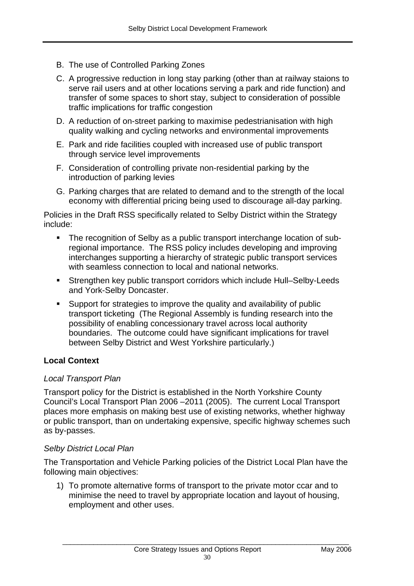- B. The use of Controlled Parking Zones
- C. A progressive reduction in long stay parking (other than at railway staions to serve rail users and at other locations serving a park and ride function) and transfer of some spaces to short stay, subject to consideration of possible traffic implications for traffic congestion
- D. A reduction of on-street parking to maximise pedestrianisation with high quality walking and cycling networks and environmental improvements
- E. Park and ride facilities coupled with increased use of public transport through service level improvements
- F. Consideration of controlling private non-residential parking by the introduction of parking levies
- G. Parking charges that are related to demand and to the strength of the local economy with differential pricing being used to discourage all-day parking.

Policies in the Draft RSS specifically related to Selby District within the Strategy include:

- The recognition of Selby as a public transport interchange location of subregional importance. The RSS policy includes developing and improving interchanges supporting a hierarchy of strategic public transport services with seamless connection to local and national networks.
- Strengthen key public transport corridors which include Hull–Selby-Leeds and York-Selby Doncaster.
- Support for strategies to improve the quality and availability of public transport ticketing (The Regional Assembly is funding research into the possibility of enabling concessionary travel across local authority boundaries. The outcome could have significant implications for travel between Selby District and West Yorkshire particularly.)

## **Local Context**

#### *Local Transport Plan*

Transport policy for the District is established in the North Yorkshire County Council's Local Transport Plan 2006 –2011 (2005). The current Local Transport places more emphasis on making best use of existing networks, whether highway or public transport, than on undertaking expensive, specific highway schemes such as by-passes.

#### *Selby District Local Plan*

The Transportation and Vehicle Parking policies of the District Local Plan have the following main objectives:

1) To promote alternative forms of transport to the private motor ccar and to minimise the need to travel by appropriate location and layout of housing, employment and other uses.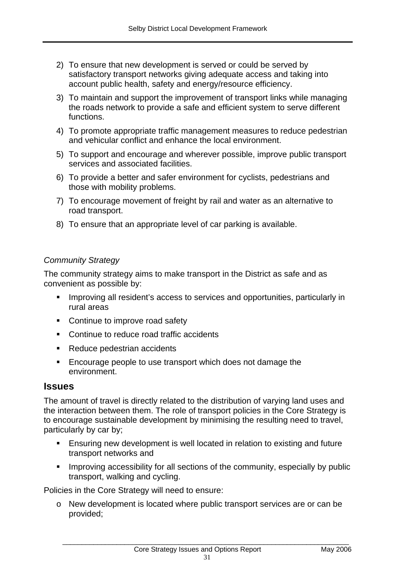- 2) To ensure that new development is served or could be served by satisfactory transport networks giving adequate access and taking into account public health, safety and energy/resource efficiency.
- 3) To maintain and support the improvement of transport links while managing the roads network to provide a safe and efficient system to serve different functions.
- 4) To promote appropriate traffic management measures to reduce pedestrian and vehicular conflict and enhance the local environment.
- 5) To support and encourage and wherever possible, improve public transport services and associated facilities.
- 6) To provide a better and safer environment for cyclists, pedestrians and those with mobility problems.
- 7) To encourage movement of freight by rail and water as an alternative to road transport.
- 8) To ensure that an appropriate level of car parking is available.

### *Community Strategy*

The community strategy aims to make transport in the District as safe and as convenient as possible by:

- **IMPROVING ALL REGIGENT** IS access to services and opportunities, particularly in rural areas
- Continue to improve road safety
- **Continue to reduce road traffic accidents**
- Reduce pedestrian accidents
- **Encourage people to use transport which does not damage the** environment.

## **Issues**

The amount of travel is directly related to the distribution of varying land uses and the interaction between them. The role of transport policies in the Core Strategy is to encourage sustainable development by minimising the resulting need to travel, particularly by car by;

- Ensuring new development is well located in relation to existing and future transport networks and
- **IMPROVING ACCESSIBILITY for all sections of the community, especially by public** transport, walking and cycling.

Policies in the Core Strategy will need to ensure:

o New development is located where public transport services are or can be provided;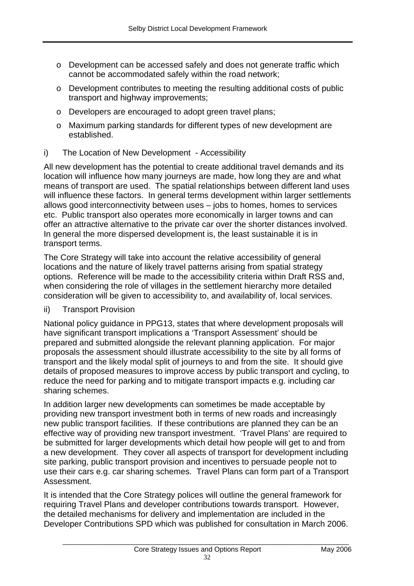- o Development can be accessed safely and does not generate traffic which cannot be accommodated safely within the road network;
- o Development contributes to meeting the resulting additional costs of public transport and highway improvements;
- o Developers are encouraged to adopt green travel plans;
- o Maximum parking standards for different types of new development are established.

## i) The Location of New Development - Accessibility

All new development has the potential to create additional travel demands and its location will influence how many journeys are made, how long they are and what means of transport are used. The spatial relationships between different land uses will influence these factors. In general terms development within larger settlements allows good interconnectivity between uses – jobs to homes, homes to services etc. Public transport also operates more economically in larger towns and can offer an attractive alternative to the private car over the shorter distances involved. In general the more dispersed development is, the least sustainable it is in transport terms.

The Core Strategy will take into account the relative accessibility of general locations and the nature of likely travel patterns arising from spatial strategy options. Reference will be made to the accessibility criteria within Draft RSS and, when considering the role of villages in the settlement hierarchy more detailed consideration will be given to accessibility to, and availability of, local services.

ii) Transport Provision

National policy guidance in PPG13, states that where development proposals will have significant transport implications a 'Transport Assessment' should be prepared and submitted alongside the relevant planning application. For major proposals the assessment should illustrate accessibility to the site by all forms of transport and the likely modal split of journeys to and from the site. It should give details of proposed measures to improve access by public transport and cycling, to reduce the need for parking and to mitigate transport impacts e.g. including car sharing schemes.

In addition larger new developments can sometimes be made acceptable by providing new transport investment both in terms of new roads and increasingly new public transport facilities. If these contributions are planned they can be an effective way of providing new transport investment. 'Travel Plans' are required to be submitted for larger developments which detail how people will get to and from a new development. They cover all aspects of transport for development including site parking, public transport provision and incentives to persuade people not to use their cars e.g. car sharing schemes. Travel Plans can form part of a Transport Assessment.

It is intended that the Core Strategy polices will outline the general framework for requiring Travel Plans and developer contributions towards transport. However, the detailed mechanisms for delivery and implementation are included in the Developer Contributions SPD which was published for consultation in March 2006.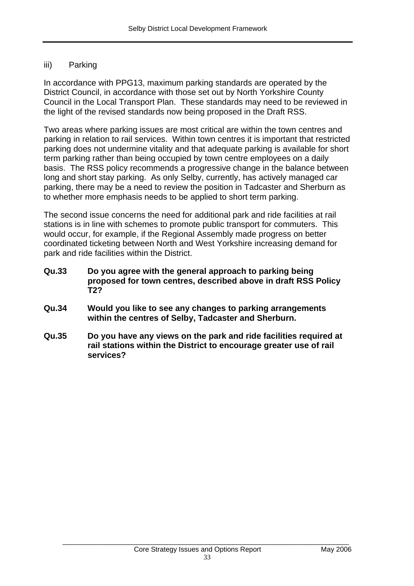#### iii) Parking

In accordance with PPG13, maximum parking standards are operated by the District Council, in accordance with those set out by North Yorkshire County Council in the Local Transport Plan. These standards may need to be reviewed in the light of the revised standards now being proposed in the Draft RSS.

Two areas where parking issues are most critical are within the town centres and parking in relation to rail services. Within town centres it is important that restricted parking does not undermine vitality and that adequate parking is available for short term parking rather than being occupied by town centre employees on a daily basis. The RSS policy recommends a progressive change in the balance between long and short stay parking. As only Selby, currently, has actively managed car parking, there may be a need to review the position in Tadcaster and Sherburn as to whether more emphasis needs to be applied to short term parking.

The second issue concerns the need for additional park and ride facilities at rail stations is in line with schemes to promote public transport for commuters. This would occur, for example, if the Regional Assembly made progress on better coordinated ticketing between North and West Yorkshire increasing demand for park and ride facilities within the District.

- **Qu.33 Do you agree with the general approach to parking being proposed for town centres, described above in draft RSS Policy T2?**
- **Qu.34 Would you like to see any changes to parking arrangements within the centres of Selby, Tadcaster and Sherburn.**
- **Qu.35 Do you have any views on the park and ride facilities required at rail stations within the District to encourage greater use of rail services?**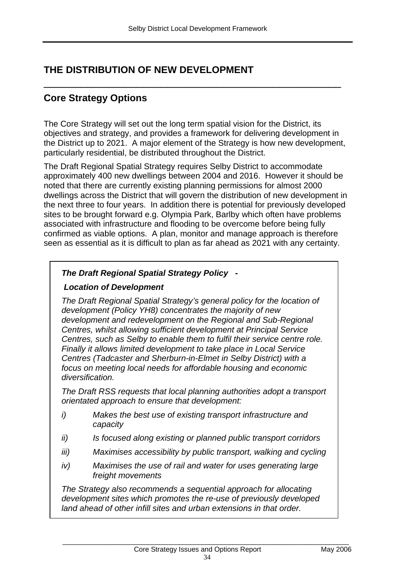## **THE DISTRIBUTION OF NEW DEVELOPMENT**

## **Core Strategy Options**

The Core Strategy will set out the long term spatial vision for the District, its objectives and strategy, and provides a framework for delivering development in the District up to 2021. A major element of the Strategy is how new development, particularly residential, be distributed throughout the District.

\_\_\_\_\_\_\_\_\_\_\_\_\_\_\_\_\_\_\_\_\_\_\_\_\_\_\_\_\_\_\_\_\_\_\_\_\_\_\_\_\_\_\_\_\_\_\_\_

The Draft Regional Spatial Strategy requires Selby District to accommodate approximately 400 new dwellings between 2004 and 2016. However it should be noted that there are currently existing planning permissions for almost 2000 dwellings across the District that will govern the distribution of new development in the next three to four years. In addition there is potential for previously developed sites to be brought forward e.g. Olympia Park, Barlby which often have problems associated with infrastructure and flooding to be overcome before being fully confirmed as viable options. A plan, monitor and manage approach is therefore seen as essential as it is difficult to plan as far ahead as 2021 with any certainty.

## *The Draft Regional Spatial Strategy Policy -*

### *Location of Development*

*The Draft Regional Spatial Strategy's general policy for the location of development (Policy YH8) concentrates the majority of new development and redevelopment on the Regional and Sub-Regional Centres, whilst allowing sufficient development at Principal Service Centres, such as Selby to enable them to fulfil their service centre role. Finally it allows limited development to take place in Local Service Centres (Tadcaster and Sherburn-in-Elmet in Selby District) with a focus on meeting local needs for affordable housing and economic diversification.* 

*The Draft RSS requests that local planning authorities adopt a transport orientated approach to ensure that development:* 

- *i) Makes the best use of existing transport infrastructure and capacity*
- *ii) Is focused along existing or planned public transport corridors*
- *iii) Maximises accessibility by public transport, walking and cycling*
- *iv) Maximises the use of rail and water for uses generating large freight movements*

*The Strategy also recommends a sequential approach for allocating development sites which promotes the re-use of previously developed land ahead of other infill sites and urban extensions in that order.*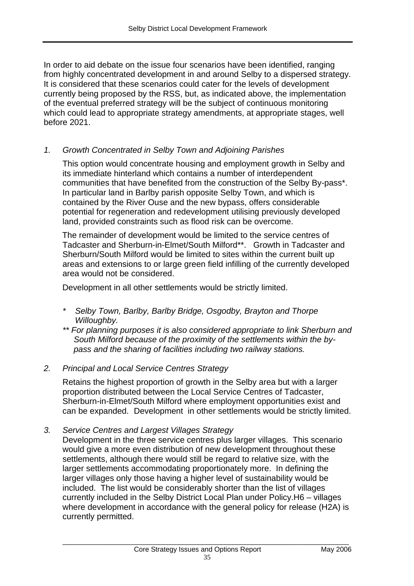In order to aid debate on the issue four scenarios have been identified, ranging from highly concentrated development in and around Selby to a dispersed strategy. It is considered that these scenarios could cater for the levels of development currently being proposed by the RSS, but, as indicated above, the implementation of the eventual preferred strategy will be the subject of continuous monitoring which could lead to appropriate strategy amendments, at appropriate stages, well before 2021.

#### *1. Growth Concentrated in Selby Town and Adjoining Parishes*

This option would concentrate housing and employment growth in Selby and its immediate hinterland which contains a number of interdependent communities that have benefited from the construction of the Selby By-pass\*. In particular land in Barlby parish opposite Selby Town, and which is contained by the River Ouse and the new bypass, offers considerable potential for regeneration and redevelopment utilising previously developed land, provided constraints such as flood risk can be overcome.

 The remainder of development would be limited to the service centres of Tadcaster and Sherburn-in-Elmet/South Milford\*\*. Growth in Tadcaster and Sherburn/South Milford would be limited to sites within the current built up areas and extensions to or large green field infilling of the currently developed area would not be considered.

Development in all other settlements would be strictly limited.

- *\* Selby Town, Barlby, Barlby Bridge, Osgodby, Brayton and Thorpe Willoughby.*
- *\*\* For planning purposes it is also considered appropriate to link Sherburn and South Milford because of the proximity of the settlements within the bypass and the sharing of facilities including two railway stations.*
- *2. Principal and Local Service Centres Strategy*

Retains the highest proportion of growth in the Selby area but with a larger proportion distributed between the Local Service Centres of Tadcaster, Sherburn-in-Elmet/South Milford where employment opportunities exist and can be expanded. Development in other settlements would be strictly limited.

*3. Service Centres and Largest Villages Strategy* 

Development in the three service centres plus larger villages. This scenario would give a more even distribution of new development throughout these settlements, although there would still be regard to relative size, with the larger settlements accommodating proportionately more. In defining the larger villages only those having a higher level of sustainability would be included. The list would be considerably shorter than the list of villages currently included in the Selby District Local Plan under Policy.H6 – villages where development in accordance with the general policy for release (H2A) is currently permitted.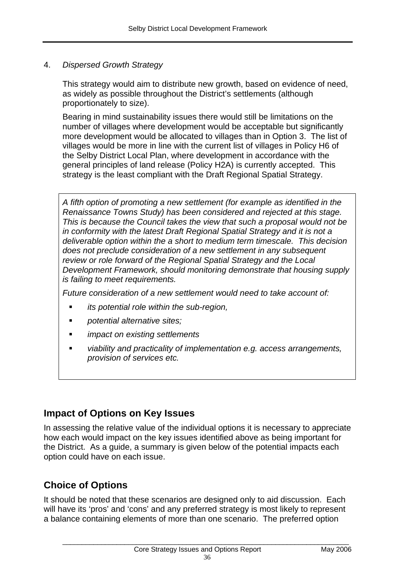#### 4. *Dispersed Growth Strategy*

This strategy would aim to distribute new growth, based on evidence of need, as widely as possible throughout the District's settlements (although proportionately to size).

Bearing in mind sustainability issues there would still be limitations on the number of villages where development would be acceptable but significantly more development would be allocated to villages than in Option 3. The list of villages would be more in line with the current list of villages in Policy H6 of the Selby District Local Plan, where development in accordance with the general principles of land release (Policy H2A) is currently accepted. This strategy is the least compliant with the Draft Regional Spatial Strategy.

*A fifth option of promoting a new settlement (for example as identified in the Renaissance Towns Study) has been considered and rejected at this stage. This is because the Council takes the view that such a proposal would not be in conformity with the latest Draft Regional Spatial Strategy and it is not a deliverable option within the a short to medium term timescale. This decision does not preclude consideration of a new settlement in any subsequent review or role forward of the Regional Spatial Strategy and the Local Development Framework, should monitoring demonstrate that housing supply is failing to meet requirements.* 

*Future consideration of a new settlement would need to take account of:* 

- *its potential role within the sub-region,*
- *potential alternative sites;*
- *impact on existing settlements*
- *viability and practicality of implementation e.g. access arrangements, provision of services etc.*

## **Impact of Options on Key Issues**

In assessing the relative value of the individual options it is necessary to appreciate how each would impact on the key issues identified above as being important for the District. As a guide, a summary is given below of the potential impacts each option could have on each issue.

## **Choice of Options**

It should be noted that these scenarios are designed only to aid discussion. Each will have its 'pros' and 'cons' and any preferred strategy is most likely to represent a balance containing elements of more than one scenario. The preferred option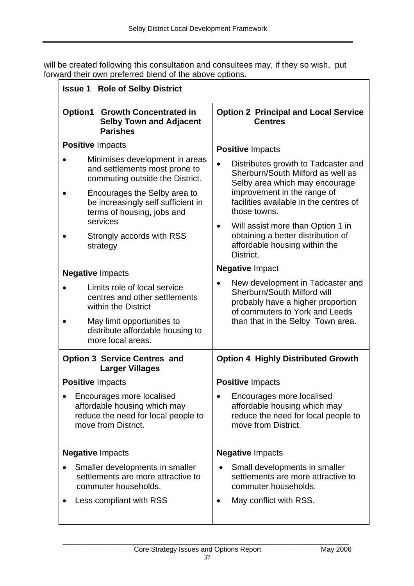will be created following this consultation and consultees may, if they so wish, put forward their own preferred blend of the above options.

| <b>Issue 1 Role of Selby District</b>                                                                                   |                                                                                                                                                     |  |  |
|-------------------------------------------------------------------------------------------------------------------------|-----------------------------------------------------------------------------------------------------------------------------------------------------|--|--|
| <b>Growth Concentrated in</b><br>Option1<br><b>Selby Town and Adjacent</b><br><b>Parishes</b>                           | <b>Option 2 Principal and Local Service</b><br><b>Centres</b>                                                                                       |  |  |
| <b>Positive Impacts</b>                                                                                                 | <b>Positive Impacts</b>                                                                                                                             |  |  |
| Minimises development in areas<br>and settlements most prone to<br>commuting outside the District.                      | Distributes growth to Tadcaster and<br>Sherburn/South Milford as well as<br>Selby area which may encourage                                          |  |  |
| Encourages the Selby area to<br>be increasingly self sufficient in<br>terms of housing, jobs and                        | improvement in the range of<br>facilities available in the centres of<br>those towns.                                                               |  |  |
| services<br>Strongly accords with RSS<br>strategy                                                                       | Will assist more than Option 1 in<br>$\bullet$<br>obtaining a better distribution of<br>affordable housing within the<br>District.                  |  |  |
| <b>Negative Impacts</b>                                                                                                 | <b>Negative Impact</b>                                                                                                                              |  |  |
| Limits role of local service<br>centres and other settlements<br>within the District                                    | New development in Tadcaster and<br>$\bullet$<br>Sherburn/South Milford will<br>probably have a higher proportion<br>of commuters to York and Leeds |  |  |
| May limit opportunities to<br>distribute affordable housing to<br>more local areas.                                     | than that in the Selby Town area.                                                                                                                   |  |  |
| <b>Option 3 Service Centres and</b><br><b>Larger Villages</b>                                                           | <b>Option 4 Highly Distributed Growth</b>                                                                                                           |  |  |
| <b>Positive Impacts</b>                                                                                                 | <b>Positive Impacts</b>                                                                                                                             |  |  |
| Encourages more localised<br>affordable housing which may<br>reduce the need for local people to<br>move from District. | Encourages more localised<br>affordable housing which may<br>reduce the need for local people to<br>move from District.                             |  |  |
| <b>Negative Impacts</b>                                                                                                 | <b>Negative Impacts</b>                                                                                                                             |  |  |
| Smaller developments in smaller<br>settlements are more attractive to<br>commuter households.                           | Small developments in smaller<br>settlements are more attractive to<br>commuter households.                                                         |  |  |
| Less compliant with RSS                                                                                                 | May conflict with RSS.<br>٠                                                                                                                         |  |  |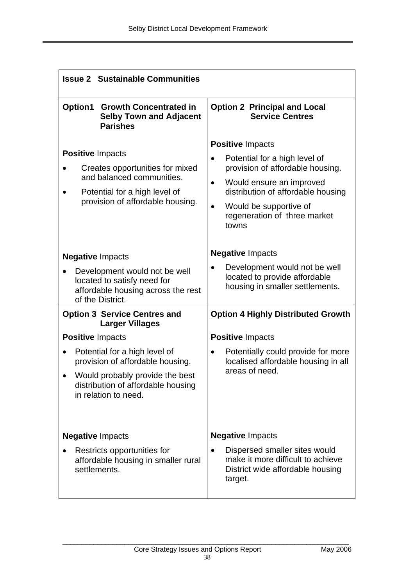| <b>Issue 2 Sustainable Communities</b>                                                                                                                             |                                                                                                                                                                                                                                                             |  |  |  |
|--------------------------------------------------------------------------------------------------------------------------------------------------------------------|-------------------------------------------------------------------------------------------------------------------------------------------------------------------------------------------------------------------------------------------------------------|--|--|--|
| Option1<br><b>Growth Concentrated in</b><br><b>Selby Town and Adjacent</b><br><b>Parishes</b>                                                                      | <b>Option 2 Principal and Local</b><br><b>Service Centres</b>                                                                                                                                                                                               |  |  |  |
| <b>Positive Impacts</b><br>Creates opportunities for mixed<br>and balanced communities.<br>Potential for a high level of<br>provision of affordable housing.       | <b>Positive Impacts</b><br>Potential for a high level of<br>provision of affordable housing.<br>Would ensure an improved<br>$\bullet$<br>distribution of affordable housing<br>Would be supportive of<br>$\bullet$<br>regeneration of three market<br>towns |  |  |  |
| <b>Negative Impacts</b>                                                                                                                                            | <b>Negative Impacts</b>                                                                                                                                                                                                                                     |  |  |  |
| Development would not be well<br>located to satisfy need for<br>affordable housing across the rest<br>of the District.                                             | Development would not be well<br>located to provide affordable<br>housing in smaller settlements.                                                                                                                                                           |  |  |  |
| <b>Option 3 Service Centres and</b><br><b>Larger Villages</b>                                                                                                      | <b>Option 4 Highly Distributed Growth</b>                                                                                                                                                                                                                   |  |  |  |
| <b>Positive Impacts</b>                                                                                                                                            | <b>Positive Impacts</b>                                                                                                                                                                                                                                     |  |  |  |
| Potential for a high level of<br>provision of affordable housing.<br>Would probably provide the best<br>distribution of affordable housing<br>in relation to need. | Potentially could provide for more<br>$\bullet$<br>localised affordable housing in all<br>areas of need.                                                                                                                                                    |  |  |  |
| <b>Negative Impacts</b><br>Restricts opportunities for<br>affordable housing in smaller rural<br>settlements.                                                      | <b>Negative Impacts</b><br>Dispersed smaller sites would<br>make it more difficult to achieve<br>District wide affordable housing<br>target.                                                                                                                |  |  |  |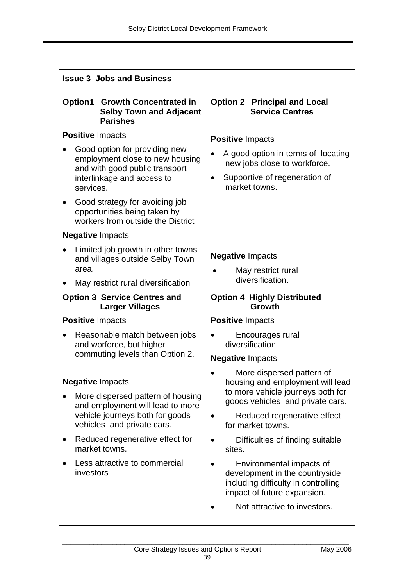| <b>Issue 3 Jobs and Business</b>                                                                                                                                                                                                                                    |                                                                                                                                                                                                                                                                                                                                                                              |  |  |  |
|---------------------------------------------------------------------------------------------------------------------------------------------------------------------------------------------------------------------------------------------------------------------|------------------------------------------------------------------------------------------------------------------------------------------------------------------------------------------------------------------------------------------------------------------------------------------------------------------------------------------------------------------------------|--|--|--|
| <b>Growth Concentrated in</b><br>Option1<br><b>Selby Town and Adjacent</b><br><b>Parishes</b>                                                                                                                                                                       | <b>Option 2 Principal and Local</b><br><b>Service Centres</b>                                                                                                                                                                                                                                                                                                                |  |  |  |
| <b>Positive Impacts</b><br>Good option for providing new<br>employment close to new housing<br>and with good public transport<br>interlinkage and access to<br>services.                                                                                            | <b>Positive Impacts</b><br>A good option in terms of locating<br>new jobs close to workforce.<br>Supportive of regeneration of<br>$\bullet$<br>market towns.                                                                                                                                                                                                                 |  |  |  |
| Good strategy for avoiding job<br>opportunities being taken by<br>workers from outside the District                                                                                                                                                                 |                                                                                                                                                                                                                                                                                                                                                                              |  |  |  |
| <b>Negative Impacts</b><br>Limited job growth in other towns<br>and villages outside Selby Town<br>area.<br>May restrict rural diversification                                                                                                                      | <b>Negative Impacts</b><br>May restrict rural<br>diversification.                                                                                                                                                                                                                                                                                                            |  |  |  |
| <b>Option 3 Service Centres and</b><br><b>Larger Villages</b>                                                                                                                                                                                                       | <b>Option 4 Highly Distributed</b><br>Growth                                                                                                                                                                                                                                                                                                                                 |  |  |  |
| <b>Positive Impacts</b>                                                                                                                                                                                                                                             | <b>Positive Impacts</b>                                                                                                                                                                                                                                                                                                                                                      |  |  |  |
| Reasonable match between jobs<br>and worforce, but higher<br>commuting levels than Option 2.                                                                                                                                                                        | Encourages rural<br>diversification<br><b>Negative Impacts</b>                                                                                                                                                                                                                                                                                                               |  |  |  |
| <b>Negative Impacts</b><br>More dispersed pattern of housing<br>and employment will lead to more<br>vehicle journeys both for goods<br>vehicles and private cars.<br>Reduced regenerative effect for<br>market towns.<br>Less attractive to commercial<br>investors | More dispersed pattern of<br>housing and employment will lead<br>to more vehicle journeys both for<br>goods vehicles and private cars.<br>Reduced regenerative effect<br>for market towns.<br>Difficulties of finding suitable<br>sites.<br>Environmental impacts of<br>development in the countryside<br>including difficulty in controlling<br>impact of future expansion. |  |  |  |
|                                                                                                                                                                                                                                                                     | Not attractive to investors.                                                                                                                                                                                                                                                                                                                                                 |  |  |  |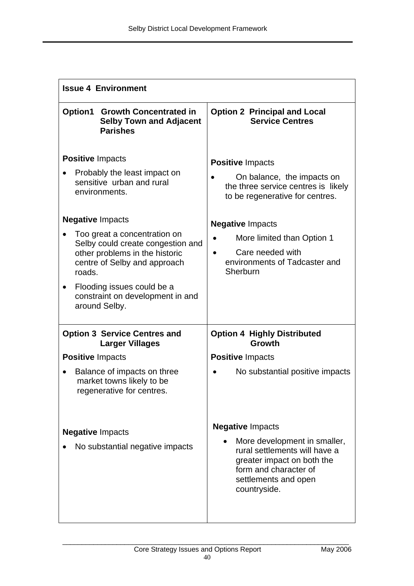| <b>Issue 4 Environment</b>                                                                                                                                                                                                                                                                                                                                           |                                                                                                                                                                                                                                                                             |  |  |  |
|----------------------------------------------------------------------------------------------------------------------------------------------------------------------------------------------------------------------------------------------------------------------------------------------------------------------------------------------------------------------|-----------------------------------------------------------------------------------------------------------------------------------------------------------------------------------------------------------------------------------------------------------------------------|--|--|--|
| Option1<br><b>Growth Concentrated in</b><br><b>Selby Town and Adjacent</b><br><b>Parishes</b>                                                                                                                                                                                                                                                                        | <b>Option 2 Principal and Local</b><br><b>Service Centres</b>                                                                                                                                                                                                               |  |  |  |
| <b>Positive Impacts</b><br>Probably the least impact on<br>sensitive urban and rural<br>environments.<br><b>Negative Impacts</b><br>Too great a concentration on<br>Selby could create congestion and<br>other problems in the historic<br>centre of Selby and approach<br>roads.<br>Flooding issues could be a<br>constraint on development in and<br>around Selby. | <b>Positive Impacts</b><br>On balance, the impacts on<br>the three service centres is likely<br>to be regenerative for centres.<br><b>Negative Impacts</b><br>More limited than Option 1<br>٠<br>Care needed with<br>$\bullet$<br>environments of Tadcaster and<br>Sherburn |  |  |  |
| <b>Option 3 Service Centres and</b><br><b>Larger Villages</b>                                                                                                                                                                                                                                                                                                        | <b>Option 4 Highly Distributed</b><br><b>Growth</b>                                                                                                                                                                                                                         |  |  |  |
| <b>Positive Impacts</b>                                                                                                                                                                                                                                                                                                                                              | <b>Positive Impacts</b>                                                                                                                                                                                                                                                     |  |  |  |
| Balance of impacts on three<br>market towns likely to be<br>regenerative for centres.                                                                                                                                                                                                                                                                                | No substantial positive impacts                                                                                                                                                                                                                                             |  |  |  |
| <b>Negative Impacts</b><br>No substantial negative impacts                                                                                                                                                                                                                                                                                                           | <b>Negative Impacts</b><br>More development in smaller,<br>rural settlements will have a<br>greater impact on both the<br>form and character of<br>settlements and open<br>countryside.                                                                                     |  |  |  |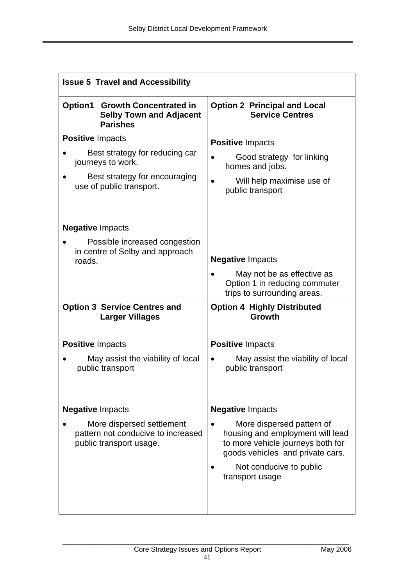| <b>Issue 5 Travel and Accessibility</b>                                                       |                                                                                                                                        |  |
|-----------------------------------------------------------------------------------------------|----------------------------------------------------------------------------------------------------------------------------------------|--|
| Option1<br><b>Growth Concentrated in</b><br><b>Selby Town and Adjacent</b><br><b>Parishes</b> | <b>Option 2 Principal and Local</b><br><b>Service Centres</b>                                                                          |  |
| <b>Positive Impacts</b>                                                                       | <b>Positive Impacts</b>                                                                                                                |  |
| Best strategy for reducing car<br>journeys to work.                                           | Good strategy for linking<br>homes and jobs.                                                                                           |  |
| Best strategy for encouraging<br>use of public transport.                                     | Will help maximise use of<br>public transport                                                                                          |  |
| <b>Negative Impacts</b>                                                                       |                                                                                                                                        |  |
| Possible increased congestion<br>in centre of Selby and approach<br>roads.                    | <b>Negative Impacts</b>                                                                                                                |  |
|                                                                                               | May not be as effective as<br>Option 1 in reducing commuter<br>trips to surrounding areas.                                             |  |
| <b>Option 3 Service Centres and</b><br><b>Larger Villages</b>                                 | <b>Option 4 Highly Distributed</b><br>Growth                                                                                           |  |
| <b>Positive Impacts</b>                                                                       | <b>Positive Impacts</b>                                                                                                                |  |
| May assist the viability of local<br>public transport                                         | May assist the viability of local<br>public transport                                                                                  |  |
| <b>Negative Impacts</b>                                                                       | <b>Negative Impacts</b>                                                                                                                |  |
| More dispersed settlement<br>pattern not conducive to increased<br>public transport usage.    | More dispersed pattern of<br>housing and employment will lead<br>to more vehicle journeys both for<br>goods vehicles and private cars. |  |
|                                                                                               | Not conducive to public<br>transport usage                                                                                             |  |